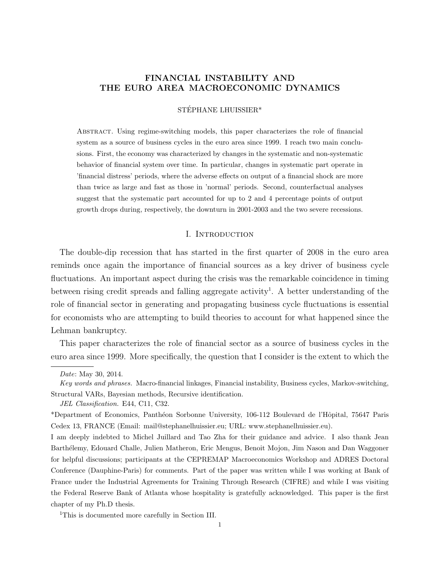# FINANCIAL INSTABILITY AND THE EURO AREA MACROECONOMIC DYNAMICS

#### STÉPHANE LHUISSIER\*

Abstract. Using regime-switching models, this paper characterizes the role of financial system as a source of business cycles in the euro area since 1999. I reach two main conclusions. First, the economy was characterized by changes in the systematic and non-systematic behavior of financial system over time. In particular, changes in systematic part operate in 'financial distress' periods, where the adverse effects on output of a financial shock are more than twice as large and fast as those in 'normal' periods. Second, counterfactual analyses suggest that the systematic part accounted for up to 2 and 4 percentage points of output growth drops during, respectively, the downturn in 2001-2003 and the two severe recessions.

# I. INTRODUCTION

The double-dip recession that has started in the first quarter of 2008 in the euro area reminds once again the importance of financial sources as a key driver of business cycle fluctuations. An important aspect during the crisis was the remarkable coincidence in timing between rising credit spreads and falling aggregate activity<sup>1</sup>. A better understanding of the role of financial sector in generating and propagating business cycle fluctuations is essential for economists who are attempting to build theories to account for what happened since the Lehman bankruptcy.

This paper characterizes the role of financial sector as a source of business cycles in the euro area since 1999. More specifically, the question that I consider is the extent to which the

JEL Classification. E44, C11, C32.

<sup>1</sup>This is documented more carefully in Section III.

Date: May 30, 2014.

Key words and phrases. Macro-financial linkages, Financial instability, Business cycles, Markov-switching, Structural VARs, Bayesian methods, Recursive identification.

<sup>\*</sup>Department of Economics, Panth´eon Sorbonne University, 106-112 Boulevard de l'Hˆopital, 75647 Paris Cedex 13, FRANCE (Email: mail@stephanelhuissier.eu; URL: www.stephanelhuissier.eu).

I am deeply indebted to Michel Juillard and Tao Zha for their guidance and advice. I also thank Jean Barth´elemy, Edouard Challe, Julien Matheron, Eric Mengus, Benoit Mojon, Jim Nason and Dan Waggoner for helpful discussions; participants at the CEPREMAP Macroeconomics Workshop and ADRES Doctoral Conference (Dauphine-Paris) for comments. Part of the paper was written while I was working at Bank of France under the Industrial Agreements for Training Through Research (CIFRE) and while I was visiting the Federal Reserve Bank of Atlanta whose hospitality is gratefully acknowledged. This paper is the first chapter of my Ph.D thesis.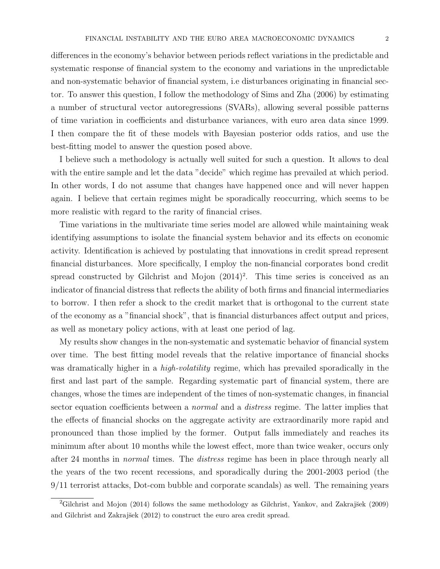differences in the economy's behavior between periods reflect variations in the predictable and systematic response of financial system to the economy and variations in the unpredictable and non-systematic behavior of financial system, i.e disturbances originating in financial sector. To answer this question, I follow the methodology of Sims and Zha (2006) by estimating a number of structural vector autoregressions (SVARs), allowing several possible patterns of time variation in coefficients and disturbance variances, with euro area data since 1999. I then compare the fit of these models with Bayesian posterior odds ratios, and use the best-fitting model to answer the question posed above.

I believe such a methodology is actually well suited for such a question. It allows to deal with the entire sample and let the data "decide" which regime has prevailed at which period. In other words, I do not assume that changes have happened once and will never happen again. I believe that certain regimes might be sporadically reoccurring, which seems to be more realistic with regard to the rarity of financial crises.

Time variations in the multivariate time series model are allowed while maintaining weak identifying assumptions to isolate the financial system behavior and its effects on economic activity. Identification is achieved by postulating that innovations in credit spread represent financial disturbances. More specifically, I employ the non-financial corporates bond credit spread constructed by Gilchrist and Mojon  $(2014)^2$ . This time series is conceived as an indicator of financial distress that reflects the ability of both firms and financial intermediaries to borrow. I then refer a shock to the credit market that is orthogonal to the current state of the economy as a "financial shock", that is financial disturbances affect output and prices, as well as monetary policy actions, with at least one period of lag.

My results show changes in the non-systematic and systematic behavior of financial system over time. The best fitting model reveals that the relative importance of financial shocks was dramatically higher in a *high-volatility* regime, which has prevailed sporadically in the first and last part of the sample. Regarding systematic part of financial system, there are changes, whose the times are independent of the times of non-systematic changes, in financial sector equation coefficients between a *normal* and a *distress* regime. The latter implies that the effects of financial shocks on the aggregate activity are extraordinarily more rapid and pronounced than those implied by the former. Output falls immediately and reaches its minimum after about 10 months while the lowest effect, more than twice weaker, occurs only after 24 months in normal times. The distress regime has been in place through nearly all the years of the two recent recessions, and sporadically during the 2001-2003 period (the 9/11 terrorist attacks, Dot-com bubble and corporate scandals) as well. The remaining years

<sup>&</sup>lt;sup>2</sup>Gilchrist and Mojon (2014) follows the same methodology as Gilchrist, Yankov, and Zakrajšek (2009) and Gilchrist and Zakrajšek (2012) to construct the euro area credit spread.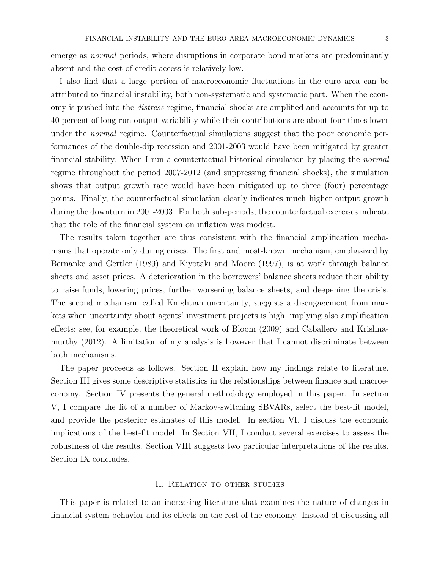emerge as *normal* periods, where disruptions in corporate bond markets are predominantly absent and the cost of credit access is relatively low.

I also find that a large portion of macroeconomic fluctuations in the euro area can be attributed to financial instability, both non-systematic and systematic part. When the economy is pushed into the distress regime, financial shocks are amplified and accounts for up to 40 percent of long-run output variability while their contributions are about four times lower under the *normal* regime. Counterfactual simulations suggest that the poor economic performances of the double-dip recession and 2001-2003 would have been mitigated by greater financial stability. When I run a counterfactual historical simulation by placing the normal regime throughout the period 2007-2012 (and suppressing financial shocks), the simulation shows that output growth rate would have been mitigated up to three (four) percentage points. Finally, the counterfactual simulation clearly indicates much higher output growth during the downturn in 2001-2003. For both sub-periods, the counterfactual exercises indicate that the role of the financial system on inflation was modest.

The results taken together are thus consistent with the financial amplification mechanisms that operate only during crises. The first and most-known mechanism, emphasized by Bernanke and Gertler (1989) and Kiyotaki and Moore (1997), is at work through balance sheets and asset prices. A deterioration in the borrowers' balance sheets reduce their ability to raise funds, lowering prices, further worsening balance sheets, and deepening the crisis. The second mechanism, called Knightian uncertainty, suggests a disengagement from markets when uncertainty about agents' investment projects is high, implying also amplification effects; see, for example, the theoretical work of Bloom (2009) and Caballero and Krishnamurthy (2012). A limitation of my analysis is however that I cannot discriminate between both mechanisms.

The paper proceeds as follows. Section II explain how my findings relate to literature. Section III gives some descriptive statistics in the relationships between finance and macroeconomy. Section IV presents the general methodology employed in this paper. In section V, I compare the fit of a number of Markov-switching SBVARs, select the best-fit model, and provide the posterior estimates of this model. In section VI, I discuss the economic implications of the best-fit model. In Section VII, I conduct several exercises to assess the robustness of the results. Section VIII suggests two particular interpretations of the results. Section IX concludes.

#### II. Relation to other studies

This paper is related to an increasing literature that examines the nature of changes in financial system behavior and its effects on the rest of the economy. Instead of discussing all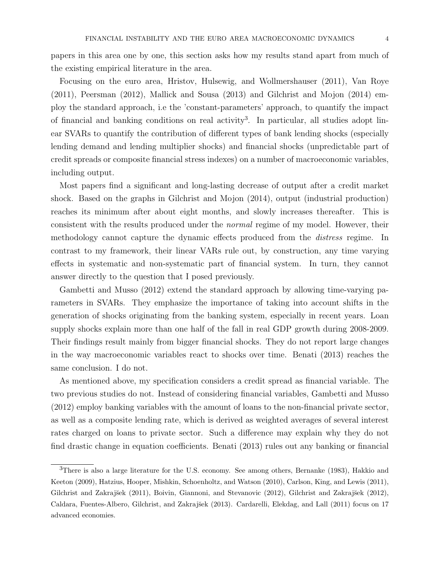papers in this area one by one, this section asks how my results stand apart from much of the existing empirical literature in the area.

Focusing on the euro area, Hristov, Hulsewig, and Wollmershauser (2011), Van Roye (2011), Peersman (2012), Mallick and Sousa (2013) and Gilchrist and Mojon (2014) employ the standard approach, i.e the 'constant-parameters' approach, to quantify the impact of financial and banking conditions on real activity<sup>3</sup>. In particular, all studies adopt linear SVARs to quantify the contribution of different types of bank lending shocks (especially lending demand and lending multiplier shocks) and financial shocks (unpredictable part of credit spreads or composite financial stress indexes) on a number of macroeconomic variables, including output.

Most papers find a significant and long-lasting decrease of output after a credit market shock. Based on the graphs in Gilchrist and Mojon (2014), output (industrial production) reaches its minimum after about eight months, and slowly increases thereafter. This is consistent with the results produced under the normal regime of my model. However, their methodology cannot capture the dynamic effects produced from the distress regime. In contrast to my framework, their linear VARs rule out, by construction, any time varying effects in systematic and non-systematic part of financial system. In turn, they cannot answer directly to the question that I posed previously.

Gambetti and Musso (2012) extend the standard approach by allowing time-varying parameters in SVARs. They emphasize the importance of taking into account shifts in the generation of shocks originating from the banking system, especially in recent years. Loan supply shocks explain more than one half of the fall in real GDP growth during 2008-2009. Their findings result mainly from bigger financial shocks. They do not report large changes in the way macroeconomic variables react to shocks over time. Benati (2013) reaches the same conclusion. I do not.

As mentioned above, my specification considers a credit spread as financial variable. The two previous studies do not. Instead of considering financial variables, Gambetti and Musso (2012) employ banking variables with the amount of loans to the non-financial private sector, as well as a composite lending rate, which is derived as weighted averages of several interest rates charged on loans to private sector. Such a difference may explain why they do not find drastic change in equation coefficients. Benati (2013) rules out any banking or financial

<sup>3</sup>There is also a large literature for the U.S. economy. See among others, Bernanke (1983), Hakkio and Keeton (2009), Hatzius, Hooper, Mishkin, Schoenholtz, and Watson (2010), Carlson, King, and Lewis (2011), Gilchrist and Zakrajšek (2011), Boivin, Giannoni, and Stevanovic (2012), Gilchrist and Zakrajšek (2012), Caldara, Fuentes-Albero, Gilchrist, and Zakrajšek (2013). Cardarelli, Elekdag, and Lall (2011) focus on 17 advanced economies.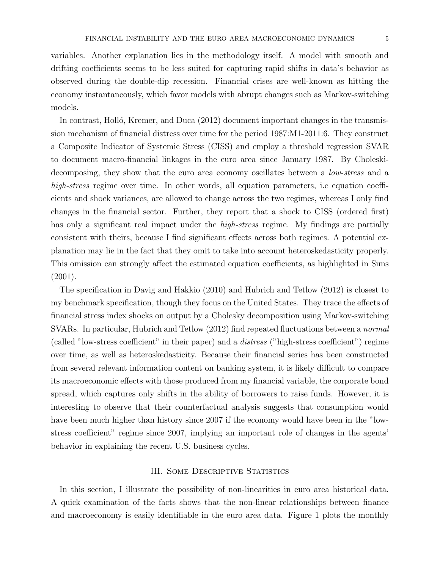variables. Another explanation lies in the methodology itself. A model with smooth and drifting coefficients seems to be less suited for capturing rapid shifts in data's behavior as observed during the double-dip recession. Financial crises are well-known as hitting the economy instantaneously, which favor models with abrupt changes such as Markov-switching models.

In contrast, Holló, Kremer, and Duca (2012) document important changes in the transmission mechanism of financial distress over time for the period 1987:M1-2011:6. They construct a Composite Indicator of Systemic Stress (CISS) and employ a threshold regression SVAR to document macro-financial linkages in the euro area since January 1987. By Choleskidecomposing, they show that the euro area economy oscillates between a *low-stress* and a high-stress regime over time. In other words, all equation parameters, i.e equation coefficients and shock variances, are allowed to change across the two regimes, whereas I only find changes in the financial sector. Further, they report that a shock to CISS (ordered first) has only a significant real impact under the *high-stress* regime. My findings are partially consistent with theirs, because I find significant effects across both regimes. A potential explanation may lie in the fact that they omit to take into account heteroskedasticity properly. This omission can strongly affect the estimated equation coefficients, as highlighted in Sims (2001).

The specification in Davig and Hakkio (2010) and Hubrich and Tetlow (2012) is closest to my benchmark specification, though they focus on the United States. They trace the effects of financial stress index shocks on output by a Cholesky decomposition using Markov-switching SVARs. In particular, Hubrich and Tetlow (2012) find repeated fluctuations between a normal (called "low-stress coefficient" in their paper) and a distress ("high-stress coefficient") regime over time, as well as heteroskedasticity. Because their financial series has been constructed from several relevant information content on banking system, it is likely difficult to compare its macroeconomic effects with those produced from my financial variable, the corporate bond spread, which captures only shifts in the ability of borrowers to raise funds. However, it is interesting to observe that their counterfactual analysis suggests that consumption would have been much higher than history since 2007 if the economy would have been in the "lowstress coefficient" regime since 2007, implying an important role of changes in the agents' behavior in explaining the recent U.S. business cycles.

### III. Some Descriptive Statistics

In this section, I illustrate the possibility of non-linearities in euro area historical data. A quick examination of the facts shows that the non-linear relationships between finance and macroeconomy is easily identifiable in the euro area data. Figure 1 plots the monthly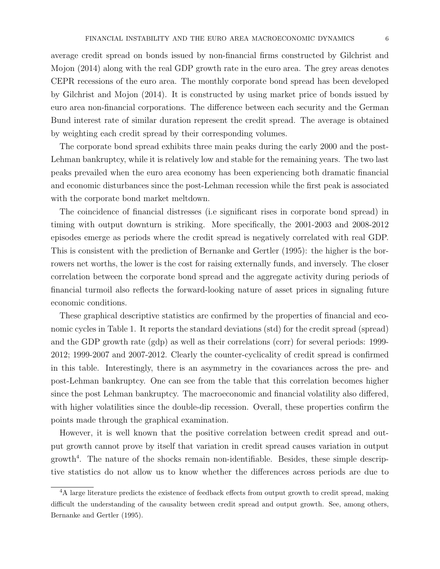average credit spread on bonds issued by non-financial firms constructed by Gilchrist and Mojon (2014) along with the real GDP growth rate in the euro area. The grey areas denotes CEPR recessions of the euro area. The monthly corporate bond spread has been developed by Gilchrist and Mojon (2014). It is constructed by using market price of bonds issued by euro area non-financial corporations. The difference between each security and the German Bund interest rate of similar duration represent the credit spread. The average is obtained by weighting each credit spread by their corresponding volumes.

The corporate bond spread exhibits three main peaks during the early 2000 and the post-Lehman bankruptcy, while it is relatively low and stable for the remaining years. The two last peaks prevailed when the euro area economy has been experiencing both dramatic financial and economic disturbances since the post-Lehman recession while the first peak is associated with the corporate bond market meltdown.

The coincidence of financial distresses (i.e significant rises in corporate bond spread) in timing with output downturn is striking. More specifically, the 2001-2003 and 2008-2012 episodes emerge as periods where the credit spread is negatively correlated with real GDP. This is consistent with the prediction of Bernanke and Gertler (1995): the higher is the borrowers net worths, the lower is the cost for raising externally funds, and inversely. The closer correlation between the corporate bond spread and the aggregate activity during periods of financial turmoil also reflects the forward-looking nature of asset prices in signaling future economic conditions.

These graphical descriptive statistics are confirmed by the properties of financial and economic cycles in Table 1. It reports the standard deviations (std) for the credit spread (spread) and the GDP growth rate (gdp) as well as their correlations (corr) for several periods: 1999- 2012; 1999-2007 and 2007-2012. Clearly the counter-cyclicality of credit spread is confirmed in this table. Interestingly, there is an asymmetry in the covariances across the pre- and post-Lehman bankruptcy. One can see from the table that this correlation becomes higher since the post Lehman bankruptcy. The macroeconomic and financial volatility also differed, with higher volatilities since the double-dip recession. Overall, these properties confirm the points made through the graphical examination.

However, it is well known that the positive correlation between credit spread and output growth cannot prove by itself that variation in credit spread causes variation in output growth<sup>4</sup> . The nature of the shocks remain non-identifiable. Besides, these simple descriptive statistics do not allow us to know whether the differences across periods are due to

<sup>&</sup>lt;sup>4</sup>A large literature predicts the existence of feedback effects from output growth to credit spread, making difficult the understanding of the causality between credit spread and output growth. See, among others, Bernanke and Gertler (1995).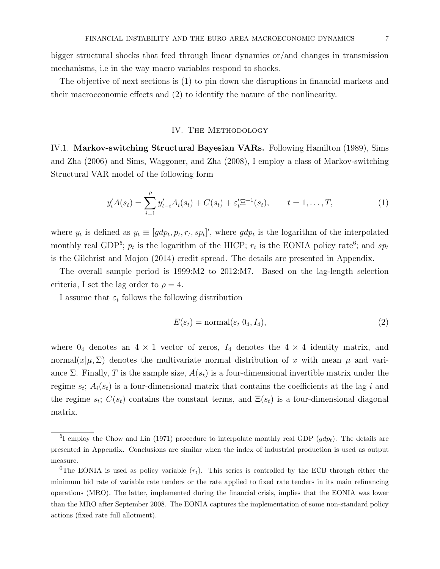bigger structural shocks that feed through linear dynamics or/and changes in transmission mechanisms, i.e in the way macro variables respond to shocks.

The objective of next sections is (1) to pin down the disruptions in financial markets and their macroeconomic effects and (2) to identify the nature of the nonlinearity.

### IV. THE METHODOLOGY

IV.1. Markov-switching Structural Bayesian VARs. Following Hamilton (1989), Sims and Zha (2006) and Sims, Waggoner, and Zha (2008), I employ a class of Markov-switching Structural VAR model of the following form

$$
y_t' A(s_t) = \sum_{i=1}^{\rho} y_{t-i}' A_i(s_t) + C(s_t) + \varepsilon_t' \Xi^{-1}(s_t), \qquad t = 1, ..., T,
$$
 (1)

where  $y_t$  is defined as  $y_t \equiv [gdp_t, p_t, r_t, sp_t]'$ , where  $gdp_t$  is the logarithm of the interpolated monthly real GDP<sup>5</sup>;  $p_t$  is the logarithm of the HICP;  $r_t$  is the EONIA policy rate<sup>6</sup>; and  $sp_t$ is the Gilchrist and Mojon (2014) credit spread. The details are presented in Appendix.

The overall sample period is 1999:M2 to 2012:M7. Based on the lag-length selection criteria, I set the lag order to  $\rho = 4$ .

I assume that  $\varepsilon_t$  follows the following distribution

$$
E(\varepsilon_t) = \text{normal}(\varepsilon_t | 0_4, I_4), \tag{2}
$$

where  $0_4$  denotes an  $4 \times 1$  vector of zeros,  $I_4$  denotes the  $4 \times 4$  identity matrix, and normal $(x|\mu, \Sigma)$  denotes the multivariate normal distribution of x with mean  $\mu$  and variance Σ. Finally, T is the sample size,  $A(s_t)$  is a four-dimensional invertible matrix under the regime  $s_t$ ;  $A_i(s_t)$  is a four-dimensional matrix that contains the coefficients at the lag i and the regime  $s_t$ ;  $C(s_t)$  contains the constant terms, and  $\Xi(s_t)$  is a four-dimensional diagonal matrix.

<sup>&</sup>lt;sup>5</sup>I employ the Chow and Lin (1971) procedure to interpolate monthly real GDP  $(gdp_t)$ . The details are presented in Appendix. Conclusions are similar when the index of industrial production is used as output measure.

<sup>&</sup>lt;sup>6</sup>The EONIA is used as policy variable  $(r_t)$ . This series is controlled by the ECB through either the minimum bid rate of variable rate tenders or the rate applied to fixed rate tenders in its main refinancing operations (MRO). The latter, implemented during the financial crisis, implies that the EONIA was lower than the MRO after September 2008. The EONIA captures the implementation of some non-standard policy actions (fixed rate full allotment).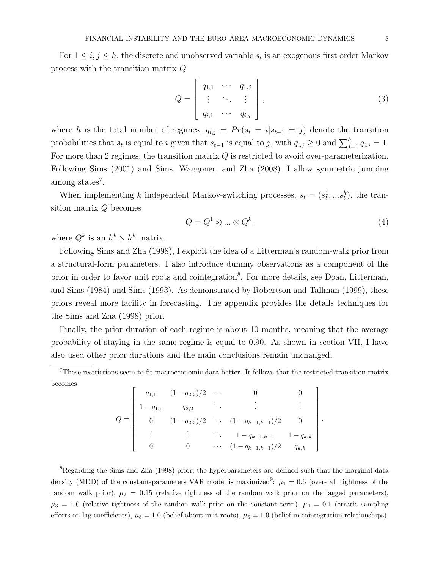For  $1 \leq i, j \leq h$ , the discrete and unobserved variable  $s_t$  is an exogenous first order Markov process with the transition matrix Q

$$
Q = \begin{bmatrix} q_{1,1} & \cdots & q_{1,j} \\ \vdots & \ddots & \vdots \\ q_{i,1} & \cdots & q_{i,j} \end{bmatrix},
$$
 (3)

where h is the total number of regimes,  $q_{i,j} = Pr(s_t = i|s_{t-1} = j)$  denote the transition probabilities that  $s_t$  is equal to i given that  $s_{t-1}$  is equal to j, with  $q_{i,j} \geq 0$  and  $\sum_{j=1}^h q_{i,j} = 1$ . For more than 2 regimes, the transition matrix  $Q$  is restricted to avoid over-parameterization. Following Sims (2001) and Sims, Waggoner, and Zha (2008), I allow symmetric jumping among states<sup>7</sup>.

When implementing k independent Markov-switching processes,  $s_t = (s_t^1, \dots s_t^k)$ , the transition matrix Q becomes

$$
Q = Q^1 \otimes \dots \otimes Q^k,\tag{4}
$$

.

where  $Q^k$  is an  $h^k \times h^k$  matrix.

Following Sims and Zha (1998), I exploit the idea of a Litterman's random-walk prior from a structural-form parameters. I also introduce dummy observations as a component of the prior in order to favor unit roots and cointegration<sup>8</sup>. For more details, see Doan, Litterman, and Sims (1984) and Sims (1993). As demonstrated by Robertson and Tallman (1999), these priors reveal more facility in forecasting. The appendix provides the details techniques for the Sims and Zha (1998) prior.

Finally, the prior duration of each regime is about 10 months, meaning that the average probability of staying in the same regime is equal to 0.90. As shown in section VII, I have also used other prior durations and the main conclusions remain unchanged.

 $7$ These restrictions seem to fit macroeconomic data better. It follows that the restricted transition matrix becomes

|             | $q_{1,1}$ $(1-q_{2,2})/2$ $\cdots$ |                                       |           |
|-------------|------------------------------------|---------------------------------------|-----------|
| $- q_{1,1}$ | $q_{2,2}$                          |                                       |           |
|             |                                    | $(1-q_{2,2})/2$ . $(1-q_{k-1,k-1})/2$ |           |
|             |                                    | $1 - q_{k-1,k-1}$ $1 - q_{k,k}$       |           |
|             |                                    | $\cdots (1 - q_{k-1,k-1})/2$          | $q_{k,k}$ |

<sup>8</sup>Regarding the Sims and Zha (1998) prior, the hyperparameters are defined such that the marginal data density (MDD) of the constant-parameters VAR model is maximized<sup>9</sup>:  $\mu_1 = 0.6$  (over- all tightness of the random walk prior),  $\mu_2 = 0.15$  (relative tightness of the random walk prior on the lagged parameters),  $\mu_3 = 1.0$  (relative tightness of the random walk prior on the constant term),  $\mu_4 = 0.1$  (erratic sampling effects on lag coefficients),  $\mu_5 = 1.0$  (belief about unit roots),  $\mu_6 = 1.0$  (belief in cointegration relationships).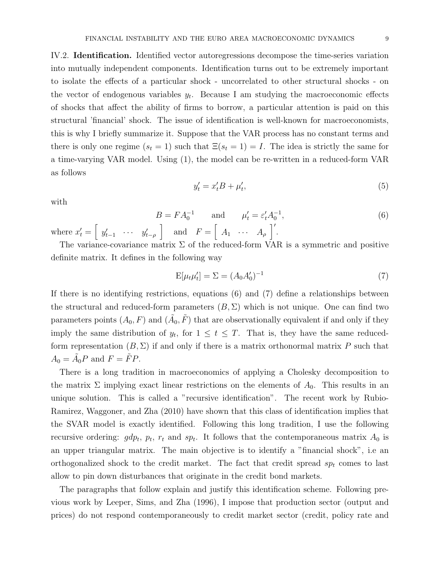IV.2. Identification. Identified vector autoregressions decompose the time-series variation into mutually independent components. Identification turns out to be extremely important to isolate the effects of a particular shock - uncorrelated to other structural shocks - on the vector of endogenous variables  $y_t$ . Because I am studying the macroeconomic effects of shocks that affect the ability of firms to borrow, a particular attention is paid on this structural 'financial' shock. The issue of identification is well-known for macroeconomists, this is why I briefly summarize it. Suppose that the VAR process has no constant terms and there is only one regime  $(s_t = 1)$  such that  $\Xi(s_t = 1) = I$ . The idea is strictly the same for a time-varying VAR model. Using (1), the model can be re-written in a reduced-form VAR as follows

$$
y_t' = x_t' B + \mu_t',\tag{5}
$$

with

$$
B = FA_0^{-1} \quad \text{and} \quad \mu'_t = \varepsilon'_t A_0^{-1},
$$
  
where  $x'_t = \begin{bmatrix} y'_{t-1} & \cdots & y'_{t-\rho} \end{bmatrix}$  and  $F = \begin{bmatrix} A_1 & \cdots & A_\rho \end{bmatrix}'.$  (6)

The variance-covariance matrix  $\Sigma$  of the reduced-form VAR is a symmetric and positive definite matrix. It defines in the following way

$$
E[\mu_t \mu'_t] = \Sigma = (A_0 A'_0)^{-1} \tag{7}
$$

If there is no identifying restrictions, equations (6) and (7) define a relationships between the structural and reduced-form parameters  $(B, \Sigma)$  which is not unique. One can find two parameters points  $(A_0, F)$  and  $(\tilde{A}_0, \tilde{F})$  that are observationally equivalent if and only if they imply the same distribution of  $y_t$ , for  $1 \le t \le T$ . That is, they have the same reducedform representation  $(B, \Sigma)$  if and only if there is a matrix orthonormal matrix P such that  $A_0 = \tilde{A}_0 P$  and  $F = \tilde{F} P$ .

There is a long tradition in macroeconomics of applying a Cholesky decomposition to the matrix  $\Sigma$  implying exact linear restrictions on the elements of  $A_0$ . This results in an unique solution. This is called a "recursive identification". The recent work by Rubio-Ramirez, Waggoner, and Zha (2010) have shown that this class of identification implies that the SVAR model is exactly identified. Following this long tradition, I use the following recursive ordering:  $gdp_t$ ,  $p_t$ ,  $r_t$  and  $sp_t$ . It follows that the contemporaneous matrix  $A_0$  is an upper triangular matrix. The main objective is to identify a "financial shock", i.e an orthogonalized shock to the credit market. The fact that credit spread  $sp_t$  comes to last allow to pin down disturbances that originate in the credit bond markets.

The paragraphs that follow explain and justify this identification scheme. Following previous work by Leeper, Sims, and Zha (1996), I impose that production sector (output and prices) do not respond contemporaneously to credit market sector (credit, policy rate and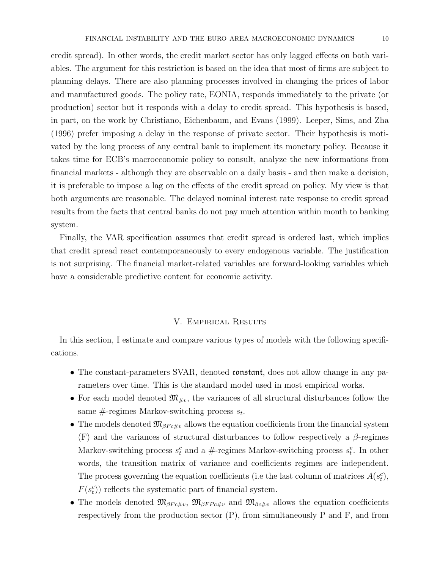credit spread). In other words, the credit market sector has only lagged effects on both variables. The argument for this restriction is based on the idea that most of firms are subject to planning delays. There are also planning processes involved in changing the prices of labor and manufactured goods. The policy rate, EONIA, responds immediately to the private (or production) sector but it responds with a delay to credit spread. This hypothesis is based, in part, on the work by Christiano, Eichenbaum, and Evans (1999). Leeper, Sims, and Zha (1996) prefer imposing a delay in the response of private sector. Their hypothesis is motivated by the long process of any central bank to implement its monetary policy. Because it takes time for ECB's macroeconomic policy to consult, analyze the new informations from financial markets - although they are observable on a daily basis - and then make a decision, it is preferable to impose a lag on the effects of the credit spread on policy. My view is that both arguments are reasonable. The delayed nominal interest rate response to credit spread results from the facts that central banks do not pay much attention within month to banking system.

Finally, the VAR specification assumes that credit spread is ordered last, which implies that credit spread react contemporaneously to every endogenous variable. The justification is not surprising. The financial market-related variables are forward-looking variables which have a considerable predictive content for economic activity.

### V. Empirical Results

In this section, I estimate and compare various types of models with the following specifications.

- The constant-parameters SVAR, denoted constant, does not allow change in any parameters over time. This is the standard model used in most empirical works.
- For each model denoted  $\mathfrak{M}_{\mu\nu}$ , the variances of all structural disturbances follow the same  $\#$ -regimes Markov-switching process  $s_t$ .
- The models denoted  $\mathfrak{M}_{\beta F c\#v}$  allows the equation coefficients from the financial system (F) and the variances of structural disturbances to follow respectively a  $\beta$ -regimes Markov-switching process  $s_t^c$  and a #-regimes Markov-switching process  $s_t^v$ . In other words, the transition matrix of variance and coefficients regimes are independent. The process governing the equation coefficients (i.e the last column of matrices  $A(s_t^c)$ ,  $F(s_t^c)$ ) reflects the systematic part of financial system.
- The models denoted  $\mathfrak{M}_{\beta P c\#v}$ ,  $\mathfrak{M}_{\beta FPc\#v}$  and  $\mathfrak{M}_{\beta c\#v}$  allows the equation coefficients respectively from the production sector  $(P)$ , from simultaneously P and F, and from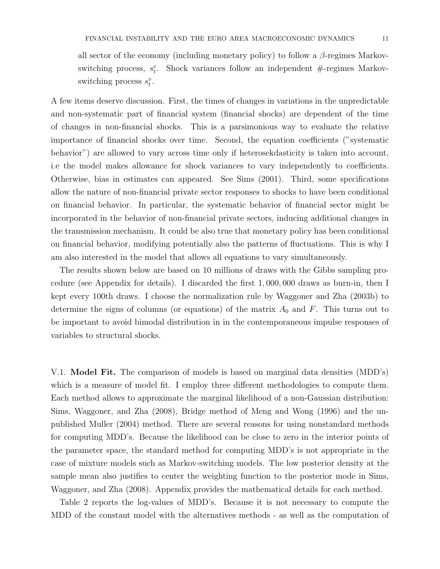all sector of the economy (including monetary policy) to follow a  $\beta$ -regimes Markovswitching process,  $s_t^c$ . Shock variances follow an independent #-regimes Markovswitching process  $s_t^v$ .

A few items deserve discussion. First, the times of changes in variations in the unpredictable and non-systematic part of financial system (financial shocks) are dependent of the time of changes in non-financial shocks. This is a parsimonious way to evaluate the relative importance of financial shocks over time. Second, the equation coefficients ("systematic behavior") are allowed to vary across time only if heterosekdasticity is taken into account, i.e the model makes allowance for shock variances to vary independently to coefficients. Otherwise, bias in estimates can appeared. See Sims (2001). Third, some specifications allow the nature of non-financial private sector responses to shocks to have been conditional on financial behavior. In particular, the systematic behavior of financial sector might be incorporated in the behavior of non-financial private sectors, inducing additional changes in the transmission mechanism. It could be also true that monetary policy has been conditional on financial behavior, modifying potentially also the patterns of fluctuations. This is why I am also interested in the model that allows all equations to vary simultaneously.

The results shown below are based on 10 millions of draws with the Gibbs sampling procedure (see Appendix for details). I discarded the first 1, 000, 000 draws as burn-in, then I kept every 100th draws. I choose the normalization rule by Waggoner and Zha (2003b) to determine the signs of columns (or equations) of the matrix  $A_0$  and F. This turns out to be important to avoid bimodal distribution in in the contemporaneous impulse responses of variables to structural shocks.

V.1. Model Fit. The comparison of models is based on marginal data densities (MDD's) which is a measure of model fit. I employ three different methodologies to compute them. Each method allows to approximate the marginal likelihood of a non-Gaussian distribution: Sims, Waggoner, and Zha (2008), Bridge method of Meng and Wong (1996) and the unpublished Muller (2004) method. There are several reasons for using nonstandard methods for computing MDD's. Because the likelihood can be close to zero in the interior points of the parameter space, the standard method for computing MDD's is not appropriate in the case of mixture models such as Markov-switching models. The low posterior density at the sample mean also justifies to center the weighting function to the posterior mode in Sims, Waggoner, and Zha (2008). Appendix provides the mathematical details for each method.

Table 2 reports the log-values of MDD's. Because it is not necessary to compute the MDD of the constant model with the alternatives methods - as well as the computation of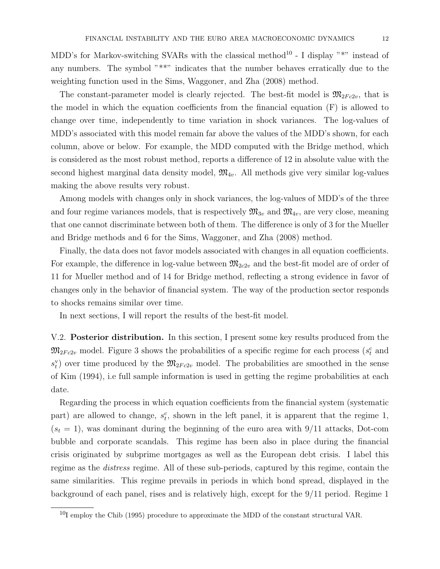MDD's for Markov-switching SVARs with the classical method<sup>10</sup> - I display "\*" instead of any numbers. The symbol "\*\*" indicates that the number behaves erratically due to the weighting function used in the Sims, Waggoner, and Zha (2008) method.

The constant-parameter model is clearly rejected. The best-fit model is  $\mathfrak{M}_{2Fc2v}$ , that is the model in which the equation coefficients from the financial equation (F) is allowed to change over time, independently to time variation in shock variances. The log-values of MDD's associated with this model remain far above the values of the MDD's shown, for each column, above or below. For example, the MDD computed with the Bridge method, which is considered as the most robust method, reports a difference of 12 in absolute value with the second highest marginal data density model,  $\mathfrak{M}_{4v}$ . All methods give very similar log-values making the above results very robust.

Among models with changes only in shock variances, the log-values of MDD's of the three and four regime variances models, that is respectively  $\mathfrak{M}_{3v}$  and  $\mathfrak{M}_{4v}$ , are very close, meaning that one cannot discriminate between both of them. The difference is only of 3 for the Mueller and Bridge methods and 6 for the Sims, Waggoner, and Zha (2008) method.

Finally, the data does not favor models associated with changes in all equation coefficients. For example, the difference in log-value between  $\mathfrak{M}_{2c2v}$  and the best-fit model are of order of 11 for Mueller method and of 14 for Bridge method, reflecting a strong evidence in favor of changes only in the behavior of financial system. The way of the production sector responds to shocks remains similar over time.

In next sections, I will report the results of the best-fit model.

V.2. **Posterior distribution.** In this section, I present some key results produced from the  $\mathfrak{M}_{2Fc2v}$  model. Figure 3 shows the probabilities of a specific regime for each process ( $s_t^c$  and  $s_t^{\mathbf{v}}$  over time produced by the  $\mathfrak{M}_{2Fc2v}$  model. The probabilities are smoothed in the sense of Kim (1994), i.e full sample information is used in getting the regime probabilities at each date.

Regarding the process in which equation coefficients from the financial system (systematic part) are allowed to change,  $s_t^c$ , shown in the left panel, it is apparent that the regime 1,  $(s_t = 1)$ , was dominant during the beginning of the euro area with 9/11 attacks, Dot-com bubble and corporate scandals. This regime has been also in place during the financial crisis originated by subprime mortgages as well as the European debt crisis. I label this regime as the *distress* regime. All of these sub-periods, captured by this regime, contain the same similarities. This regime prevails in periods in which bond spread, displayed in the background of each panel, rises and is relatively high, except for the 9/11 period. Regime 1

 $10I$  employ the Chib (1995) procedure to approximate the MDD of the constant structural VAR.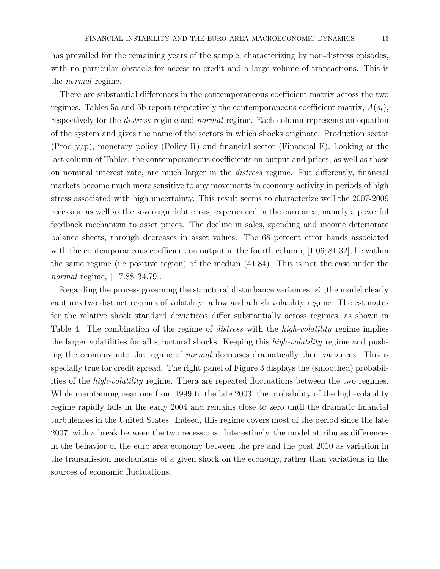has prevailed for the remaining years of the sample, characterizing by non-distress episodes, with no particular obstacle for access to credit and a large volume of transactions. This is the normal regime.

There are substantial differences in the contemporaneous coefficient matrix across the two regimes. Tables 5a and 5b report respectively the contemporaneous coefficient matrix,  $A(s_t)$ , respectively for the *distress* regime and *normal* regime. Each column represents an equation of the system and gives the name of the sectors in which shocks originate: Production sector (Prod y/p), monetary policy (Policy R) and financial sector (Financial F). Looking at the last column of Tables, the contemporaneous coefficients on output and prices, as well as those on nominal interest rate, are much larger in the distress regime. Put differently, financial markets become much more sensitive to any movements in economy activity in periods of high stress associated with high uncertainty. This result seems to characterize well the 2007-2009 recession as well as the sovereign debt crisis, experienced in the euro area, namely a powerful feedback mechanism to asset prices. The decline in sales, spending and income deteriorate balance sheets, through decreases in asset values. The 68 percent error bands associated with the contemporaneous coefficient on output in the fourth column, [1.06; 81.32], lie within the same regime (i.e positive region) of the median (41.84). This is not the case under the normal regime, [−7.88; 34.79].

Regarding the process governing the structural disturbance variances,  $s_t^v$ , the model clearly captures two distinct regimes of volatility: a low and a high volatility regime. The estimates for the relative shock standard deviations differ substantially across regimes, as shown in Table 4. The combination of the regime of *distress* with the *high-volatility* regime implies the larger volatilities for all structural shocks. Keeping this *high-volatility* regime and pushing the economy into the regime of normal decreases dramatically their variances. This is specially true for credit spread. The right panel of Figure 3 displays the (smoothed) probabilities of the *high-volatility* regime. Thera are repeated fluctuations between the two regimes. While maintaining near one from 1999 to the late 2003, the probability of the high-volatility regime rapidly falls in the early 2004 and remains close to zero until the dramatic financial turbulences in the United States. Indeed, this regime covers most of the period since the late 2007, with a break between the two recessions. Interestingly, the model attributes differences in the behavior of the euro area economy between the pre and the post 2010 as variation in the transmission mechanisms of a given shock on the economy, rather than variations in the sources of economic fluctuations.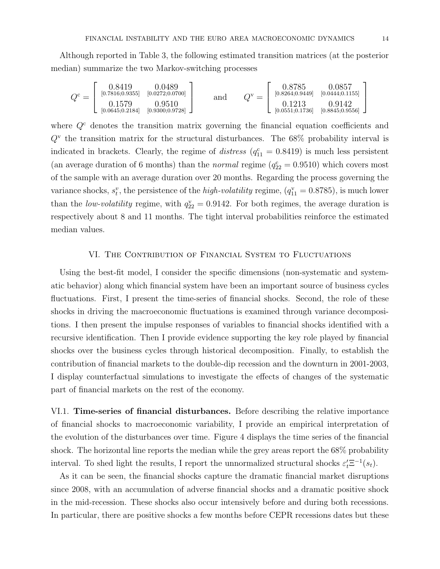Although reported in Table 3, the following estimated transition matrices (at the posterior median) summarize the two Markov-switching processes

$$
Q^{\text{c}} = \begin{bmatrix} 0.8419 & 0.0489 \\ \frac{[0.7816; 0.9355]}{[0.0272; 0.0700]} & 0.9510 \\ \frac{[0.645; 0.2184]}{[0.9300; 0.9728]} & \frac{[0.8578]}{[0.8264; 0.9449]} & \frac{[0.0444; 0.1155]}{[0.0444; 0.1156]} \\ \frac{[0.1213]}{[0.0551; 0.1736]} & \frac{[0.845; 0.942]}{[0.8845; 0.9556]} \end{bmatrix}
$$

where  $Q<sup>c</sup>$  denotes the transition matrix governing the financial equation coefficients and  $Q^{\rm v}$  the transition matrix for the structural disturbances. The 68% probability interval is indicated in brackets. Clearly, the regime of *distress*  $(q_{11}^c = 0.8419)$  is much less persistent (an average duration of 6 months) than the *normal* regime  $(q_{22}^c = 0.9510)$  which covers most of the sample with an average duration over 20 months. Regarding the process governing the variance shocks,  $s_t^v$ , the persistence of the *high-volatility* regime,  $(q_{11}^v = 0.8785)$ , is much lower than the *low-volatility* regime, with  $q_{22}^{\rm v} = 0.9142$ . For both regimes, the average duration is respectively about 8 and 11 months. The tight interval probabilities reinforce the estimated median values.

#### VI. The Contribution of Financial System to Fluctuations

Using the best-fit model, I consider the specific dimensions (non-systematic and systematic behavior) along which financial system have been an important source of business cycles fluctuations. First, I present the time-series of financial shocks. Second, the role of these shocks in driving the macroeconomic fluctuations is examined through variance decompositions. I then present the impulse responses of variables to financial shocks identified with a recursive identification. Then I provide evidence supporting the key role played by financial shocks over the business cycles through historical decomposition. Finally, to establish the contribution of financial markets to the double-dip recession and the downturn in 2001-2003, I display counterfactual simulations to investigate the effects of changes of the systematic part of financial markets on the rest of the economy.

VI.1. Time-series of financial disturbances. Before describing the relative importance of financial shocks to macroeconomic variability, I provide an empirical interpretation of the evolution of the disturbances over time. Figure 4 displays the time series of the financial shock. The horizontal line reports the median while the grey areas report the 68% probability interval. To shed light the results, I report the unnormalized structural shocks  $\varepsilon_t' \Xi^{-1}(s_t)$ .

As it can be seen, the financial shocks capture the dramatic financial market disruptions since 2008, with an accumulation of adverse financial shocks and a dramatic positive shock in the mid-recession. These shocks also occur intensively before and during both recessions. In particular, there are positive shocks a few months before CEPR recessions dates but these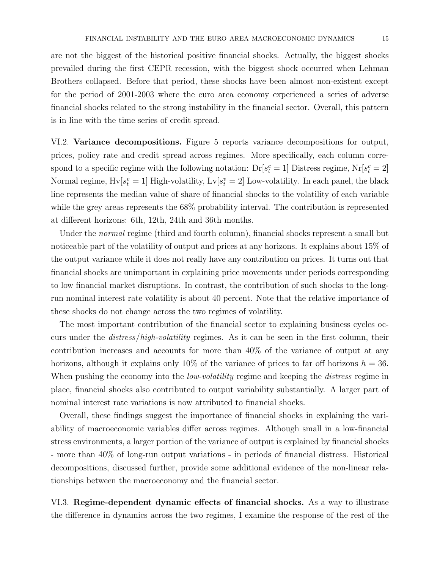are not the biggest of the historical positive financial shocks. Actually, the biggest shocks prevailed during the first CEPR recession, with the biggest shock occurred when Lehman Brothers collapsed. Before that period, these shocks have been almost non-existent except for the period of 2001-2003 where the euro area economy experienced a series of adverse financial shocks related to the strong instability in the financial sector. Overall, this pattern is in line with the time series of credit spread.

VI.2. Variance decompositions. Figure 5 reports variance decompositions for output, prices, policy rate and credit spread across regimes. More specifically, each column correspond to a specific regime with the following notation:  $Dr[s_t^c = 1]$  Distress regime,  $Nr[s_t^c = 2]$ Normal regime,  $Hv[s_t^v = 1]$  High-volatility,  $Lv[s_t^v = 2]$  Low-volatility. In each panel, the black line represents the median value of share of financial shocks to the volatility of each variable while the grey areas represents the 68% probability interval. The contribution is represented at different horizons: 6th, 12th, 24th and 36th months.

Under the *normal* regime (third and fourth column), financial shocks represent a small but noticeable part of the volatility of output and prices at any horizons. It explains about 15% of the output variance while it does not really have any contribution on prices. It turns out that financial shocks are unimportant in explaining price movements under periods corresponding to low financial market disruptions. In contrast, the contribution of such shocks to the longrun nominal interest rate volatility is about 40 percent. Note that the relative importance of these shocks do not change across the two regimes of volatility.

The most important contribution of the financial sector to explaining business cycles occurs under the distress/high-volatility regimes. As it can be seen in the first column, their contribution increases and accounts for more than 40% of the variance of output at any horizons, although it explains only 10% of the variance of prices to far off horizons  $h = 36$ . When pushing the economy into the *low-volatility* regime and keeping the *distress* regime in place, financial shocks also contributed to output variability substantially. A larger part of nominal interest rate variations is now attributed to financial shocks.

Overall, these findings suggest the importance of financial shocks in explaining the variability of macroeconomic variables differ across regimes. Although small in a low-financial stress environments, a larger portion of the variance of output is explained by financial shocks - more than 40% of long-run output variations - in periods of financial distress. Historical decompositions, discussed further, provide some additional evidence of the non-linear relationships between the macroeconomy and the financial sector.

VI.3. Regime-dependent dynamic effects of financial shocks. As a way to illustrate the difference in dynamics across the two regimes, I examine the response of the rest of the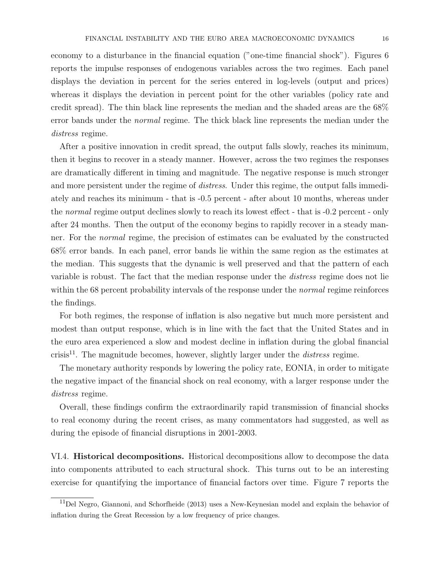economy to a disturbance in the financial equation ("one-time financial shock"). Figures 6 reports the impulse responses of endogenous variables across the two regimes. Each panel displays the deviation in percent for the series entered in log-levels (output and prices) whereas it displays the deviation in percent point for the other variables (policy rate and credit spread). The thin black line represents the median and the shaded areas are the 68% error bands under the *normal* regime. The thick black line represents the median under the distress regime.

After a positive innovation in credit spread, the output falls slowly, reaches its minimum, then it begins to recover in a steady manner. However, across the two regimes the responses are dramatically different in timing and magnitude. The negative response is much stronger and more persistent under the regime of *distress*. Under this regime, the output falls immediately and reaches its minimum - that is -0.5 percent - after about 10 months, whereas under the normal regime output declines slowly to reach its lowest effect - that is -0.2 percent - only after 24 months. Then the output of the economy begins to rapidly recover in a steady manner. For the normal regime, the precision of estimates can be evaluated by the constructed 68% error bands. In each panel, error bands lie within the same region as the estimates at the median. This suggests that the dynamic is well preserved and that the pattern of each variable is robust. The fact that the median response under the distress regime does not lie within the 68 percent probability intervals of the response under the *normal* regime reinforces the findings.

For both regimes, the response of inflation is also negative but much more persistent and modest than output response, which is in line with the fact that the United States and in the euro area experienced a slow and modest decline in inflation during the global financial crisis<sup>11</sup>. The magnitude becomes, however, slightly larger under the *distress* regime.

The monetary authority responds by lowering the policy rate, EONIA, in order to mitigate the negative impact of the financial shock on real economy, with a larger response under the distress regime.

Overall, these findings confirm the extraordinarily rapid transmission of financial shocks to real economy during the recent crises, as many commentators had suggested, as well as during the episode of financial disruptions in 2001-2003.

VI.4. Historical decompositions. Historical decompositions allow to decompose the data into components attributed to each structural shock. This turns out to be an interesting exercise for quantifying the importance of financial factors over time. Figure 7 reports the

 $11$ Del Negro, Giannoni, and Schorfheide (2013) uses a New-Keynesian model and explain the behavior of inflation during the Great Recession by a low frequency of price changes.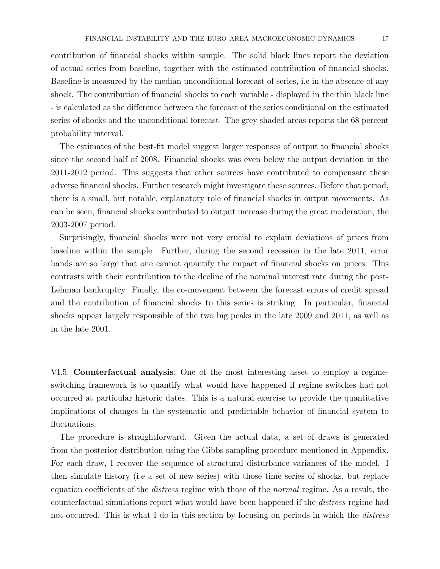contribution of financial shocks within sample. The solid black lines report the deviation of actual series from baseline, together with the estimated contribution of financial shocks. Baseline is measured by the median unconditional forecast of series, i.e in the absence of any shock. The contribution of financial shocks to each variable - displayed in the thin black line - is calculated as the difference between the forecast of the series conditional on the estimated series of shocks and the unconditional forecast. The grey shaded areas reports the 68 percent probability interval.

The estimates of the best-fit model suggest larger responses of output to financial shocks since the second half of 2008. Financial shocks was even below the output deviation in the 2011-2012 period. This suggests that other sources have contributed to compensate these adverse financial shocks. Further research might investigate these sources. Before that period, there is a small, but notable, explanatory role of financial shocks in output movements. As can be seen, financial shocks contributed to output increase during the great moderation, the 2003-2007 period.

Surprisingly, financial shocks were not very crucial to explain deviations of prices from baseline within the sample. Further, during the second recession in the late 2011, error bands are so large that one cannot quantify the impact of financial shocks on prices. This contrasts with their contribution to the decline of the nominal interest rate during the post-Lehman bankruptcy. Finally, the co-movement between the forecast errors of credit spread and the contribution of financial shocks to this series is striking. In particular, financial shocks appear largely responsible of the two big peaks in the late 2009 and 2011, as well as in the late 2001.

VI.5. Counterfactual analysis. One of the most interesting asset to employ a regimeswitching framework is to quantify what would have happened if regime switches had not occurred at particular historic dates. This is a natural exercise to provide the quantitative implications of changes in the systematic and predictable behavior of financial system to fluctuations.

The procedure is straightforward. Given the actual data, a set of draws is generated from the posterior distribution using the Gibbs sampling procedure mentioned in Appendix. For each draw, I recover the sequence of structural disturbance variances of the model. I then simulate history (i.e a set of new series) with those time series of shocks, but replace equation coefficients of the *distress* regime with those of the *normal* regime. As a result, the counterfactual simulations report what would have been happened if the distress regime had not occurred. This is what I do in this section by focusing on periods in which the *distress*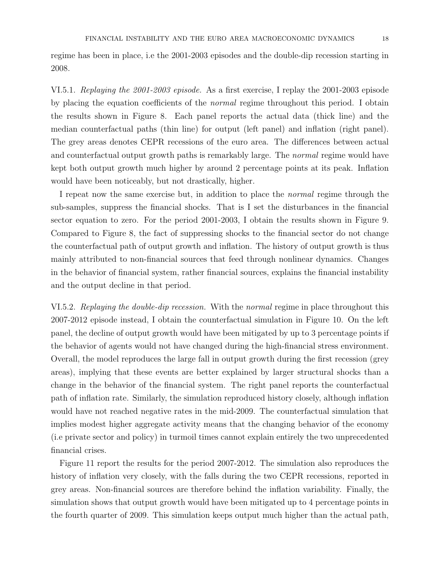regime has been in place, i.e the 2001-2003 episodes and the double-dip recession starting in 2008.

VI.5.1. Replaying the 2001-2003 episode. As a first exercise, I replay the 2001-2003 episode by placing the equation coefficients of the normal regime throughout this period. I obtain the results shown in Figure 8. Each panel reports the actual data (thick line) and the median counterfactual paths (thin line) for output (left panel) and inflation (right panel). The grey areas denotes CEPR recessions of the euro area. The differences between actual and counterfactual output growth paths is remarkably large. The *normal* regime would have kept both output growth much higher by around 2 percentage points at its peak. Inflation would have been noticeably, but not drastically, higher.

I repeat now the same exercise but, in addition to place the normal regime through the sub-samples, suppress the financial shocks. That is I set the disturbances in the financial sector equation to zero. For the period 2001-2003, I obtain the results shown in Figure 9. Compared to Figure 8, the fact of suppressing shocks to the financial sector do not change the counterfactual path of output growth and inflation. The history of output growth is thus mainly attributed to non-financial sources that feed through nonlinear dynamics. Changes in the behavior of financial system, rather financial sources, explains the financial instability and the output decline in that period.

VI.5.2. Replaying the double-dip recession. With the normal regime in place throughout this 2007-2012 episode instead, I obtain the counterfactual simulation in Figure 10. On the left panel, the decline of output growth would have been mitigated by up to 3 percentage points if the behavior of agents would not have changed during the high-financial stress environment. Overall, the model reproduces the large fall in output growth during the first recession (grey areas), implying that these events are better explained by larger structural shocks than a change in the behavior of the financial system. The right panel reports the counterfactual path of inflation rate. Similarly, the simulation reproduced history closely, although inflation would have not reached negative rates in the mid-2009. The counterfactual simulation that implies modest higher aggregate activity means that the changing behavior of the economy (i.e private sector and policy) in turmoil times cannot explain entirely the two unprecedented financial crises.

Figure 11 report the results for the period 2007-2012. The simulation also reproduces the history of inflation very closely, with the falls during the two CEPR recessions, reported in grey areas. Non-financial sources are therefore behind the inflation variability. Finally, the simulation shows that output growth would have been mitigated up to 4 percentage points in the fourth quarter of 2009. This simulation keeps output much higher than the actual path,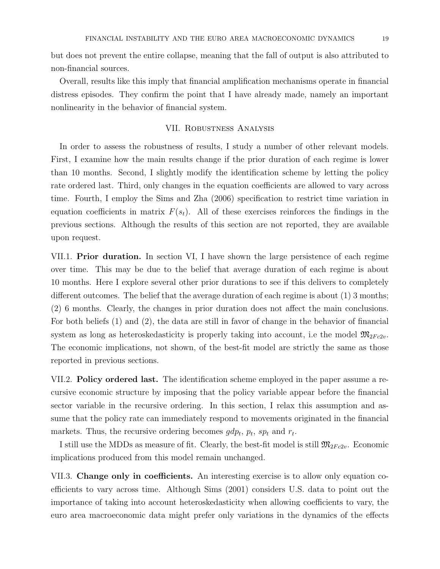but does not prevent the entire collapse, meaning that the fall of output is also attributed to non-financial sources.

Overall, results like this imply that financial amplification mechanisms operate in financial distress episodes. They confirm the point that I have already made, namely an important nonlinearity in the behavior of financial system.

### VII. Robustness Analysis

In order to assess the robustness of results, I study a number of other relevant models. First, I examine how the main results change if the prior duration of each regime is lower than 10 months. Second, I slightly modify the identification scheme by letting the policy rate ordered last. Third, only changes in the equation coefficients are allowed to vary across time. Fourth, I employ the Sims and Zha (2006) specification to restrict time variation in equation coefficients in matrix  $F(s_t)$ . All of these exercises reinforces the findings in the previous sections. Although the results of this section are not reported, they are available upon request.

VII.1. **Prior duration.** In section VI, I have shown the large persistence of each regime over time. This may be due to the belief that average duration of each regime is about 10 months. Here I explore several other prior durations to see if this delivers to completely different outcomes. The belief that the average duration of each regime is about  $(1)$  3 months; (2) 6 months. Clearly, the changes in prior duration does not affect the main conclusions. For both beliefs (1) and (2), the data are still in favor of change in the behavior of financial system as long as heteroskedasticity is properly taking into account, i.e the model  $\mathfrak{M}_{2Fc2v}$ . The economic implications, not shown, of the best-fit model are strictly the same as those reported in previous sections.

VII.2. **Policy ordered last.** The identification scheme employed in the paper assume a recursive economic structure by imposing that the policy variable appear before the financial sector variable in the recursive ordering. In this section, I relax this assumption and assume that the policy rate can immediately respond to movements originated in the financial markets. Thus, the recursive ordering becomes  $gdp_t$ ,  $p_t$ ,  $sp_t$  and  $r_t$ .

I still use the MDDs as measure of fit. Clearly, the best-fit model is still  $\mathfrak{M}_{2Fc2v}$ . Economic implications produced from this model remain unchanged.

VII.3. Change only in coefficients. An interesting exercise is to allow only equation coefficients to vary across time. Although Sims (2001) considers U.S. data to point out the importance of taking into account heteroskedasticity when allowing coefficients to vary, the euro area macroeconomic data might prefer only variations in the dynamics of the effects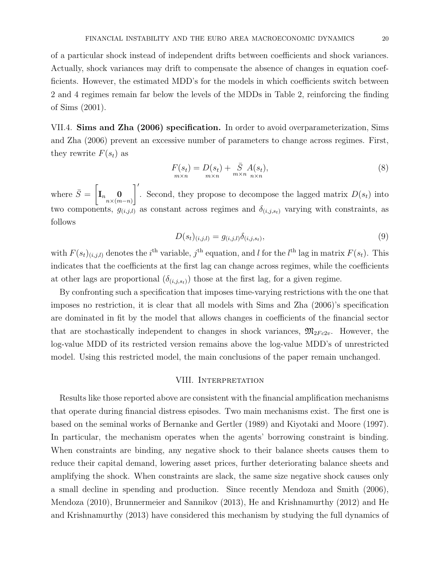of a particular shock instead of independent drifts between coefficients and shock variances. Actually, shock variances may drift to compensate the absence of changes in equation coefficients. However, the estimated MDD's for the models in which coefficients switch between 2 and 4 regimes remain far below the levels of the MDDs in Table 2, reinforcing the finding of Sims (2001).

VII.4. Sims and Zha (2006) specification. In order to avoid overparameterization, Sims and Zha (2006) prevent an excessive number of parameters to change across regimes. First, they rewrite  $F(s_t)$  as

$$
F(st) = D(st) + \bar{S} A(st),
$$
  
\n
$$
m \times n
$$
 (8)

where  $\bar{S} = \begin{bmatrix} \overline{S} & \overline{S} \\ \overline{S} & \overline{S} \end{bmatrix}$  $\mathbf{I}_{n}\mathbf{0} \ \mathbf{0} \ \mathbf{n} \times (m-n)$  $\overline{\phantom{a}}$ . Second, they propose to decompose the lagged matrix  $D(s_t)$  into two components,  $g_{(i,j,l)}$  as constant across regimes and  $\delta_{(i,j,s_t)}$  varying with constraints, as follows

$$
D(s_t)_{(i,j,l)} = g_{(i,j,l)}\delta_{(i,j,s_t)},
$$
\n(9)

with  $F(s_t)_{(i,j,l)}$  denotes the *i*<sup>th</sup> variable, *j*<sup>th</sup> equation, and *l* for the *l*<sup>th</sup> lag in matrix  $F(s_t)$ . This indicates that the coefficients at the first lag can change across regimes, while the coefficients at other lags are proportional  $(\delta_{(i,j,s_t)})$  those at the first lag, for a given regime.

By confronting such a specification that imposes time-varying restrictions with the one that imposes no restriction, it is clear that all models with Sims and Zha (2006)'s specification are dominated in fit by the model that allows changes in coefficients of the financial sector that are stochastically independent to changes in shock variances,  $\mathfrak{M}_{2Fc2v}$ . However, the log-value MDD of its restricted version remains above the log-value MDD's of unrestricted model. Using this restricted model, the main conclusions of the paper remain unchanged.

# VIII. INTERPRETATION

Results like those reported above are consistent with the financial amplification mechanisms that operate during financial distress episodes. Two main mechanisms exist. The first one is based on the seminal works of Bernanke and Gertler (1989) and Kiyotaki and Moore (1997). In particular, the mechanism operates when the agents' borrowing constraint is binding. When constraints are binding, any negative shock to their balance sheets causes them to reduce their capital demand, lowering asset prices, further deteriorating balance sheets and amplifying the shock. When constraints are slack, the same size negative shock causes only a small decline in spending and production. Since recently Mendoza and Smith (2006), Mendoza (2010), Brunnermeier and Sannikov (2013), He and Krishnamurthy (2012) and He and Krishnamurthy (2013) have considered this mechanism by studying the full dynamics of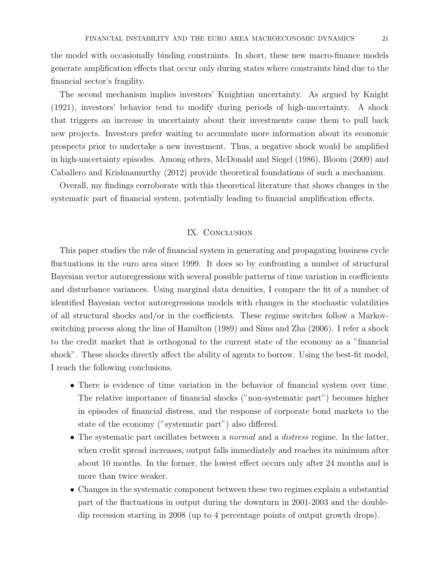the model with occasionally binding constraints. In short, these new macro-finance models generate amplification effects that occur only during states where constraints bind due to the financial sector's fragility.

The second mechanism implies investors' Knightian uncertainty. As argued by Knight (1921), investors' behavior tend to modify during periods of high-uncertainty. A shock that triggers an increase in uncertainty about their investments cause them to pull back new projects. Investors prefer waiting to accumulate more information about its economic prospects prior to undertake a new investment. Thus, a negative shock would be amplified in high-uncertainty episodes. Among others, McDonald and Siegel (1986), Bloom (2009) and Caballero and Krishnamurthy (2012) provide theoretical foundations of such a mechanism.

Overall, my findings corroborate with this theoretical literature that shows changes in the systematic part of financial system, potentially leading to financial amplification effects.

### IX. CONCLUSION

This paper studies the role of financial system in generating and propagating business cycle fluctuations in the euro area since 1999. It does so by confronting a number of structural Bayesian vector autoregressions with several possible patterns of time variation in coefficients and disturbance variances. Using marginal data densities, I compare the fit of a number of identified Bayesian vector autoregressions models with changes in the stochastic volatilities of all structural shocks and/or in the coefficients. These regime switches follow a Markovswitching process along the line of Hamilton (1989) and Sims and Zha (2006). I refer a shock to the credit market that is orthogonal to the current state of the economy as a "financial shock". These shocks directly affect the ability of agents to borrow. Using the best-fit model, I reach the following conclusions.

- There is evidence of time variation in the behavior of financial system over time. The relative importance of financial shocks ("non-systematic part") becomes higher in episodes of financial distress, and the response of corporate bond markets to the state of the economy ("systematic part") also differed.
- The systematic part oscillates between a *normal* and a *distress* regime. In the latter, when credit spread increases, output falls immediately and reaches its minimum after about 10 months. In the former, the lowest effect occurs only after 24 months and is more than twice weaker.
- Changes in the systematic component between these two regimes explain a substantial part of the fluctuations in output during the downturn in 2001-2003 and the doubledip recession starting in 2008 (up to 4 percentage points of output growth drops).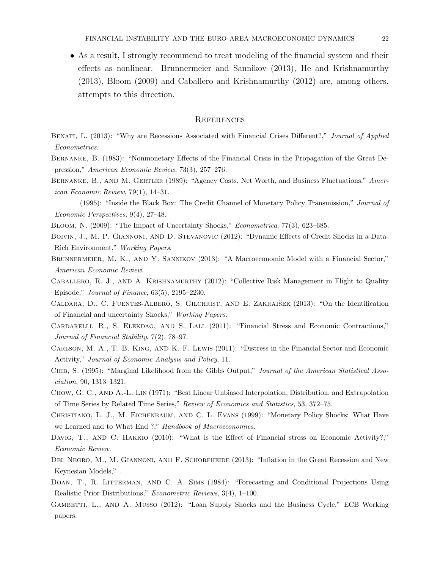• As a result, I strongly recommend to treat modeling of the financial system and their effects as nonlinear. Brunnermeier and Sannikov (2013), He and Krishnamurthy (2013), Bloom (2009) and Caballero and Krishnamurthy (2012) are, among others, attempts to this direction.

#### **REFERENCES**

- BENATI, L. (2013): "Why are Recessions Associated with Financial Crises Different?," Journal of Applied Econometrics.
- Bernanke, B. (1983): "Nonmonetary Effects of the Financial Crisis in the Propagation of the Great Depression," American Economic Review, 73(3), 257–276.
- BERNANKE, B., AND M. GERTLER (1989): "Agency Costs, Net Worth, and Business Fluctuations," American Economic Review, 79(1), 14–31.
- (1995): "Inside the Black Box: The Credit Channel of Monetary Policy Transmission," *Journal of* Economic Perspectives, 9(4), 27–48.
- BLOOM, N. (2009): "The Impact of Uncertainty Shocks," *Econometrica*, 77(3), 623–685.
- Boivin, J., M. P. Giannoni, and D. Stevanovic (2012): "Dynamic Effects of Credit Shocks in a Data-Rich Environment," Working Papers.
- BRUNNERMEIER, M. K., AND Y. SANNIKOV (2013): "A Macroeconomic Model with a Financial Sector," American Economic Review.
- CABALLERO, R. J., AND A. KRISHNAMURTHY (2012): "Collective Risk Management in Flight to Quality Episode," Journal of Finance, 63(5), 2195–2230.
- CALDARA, D., C. FUENTES-ALBERO, S. GILCHRIST, AND E. ZAKRAJŠEK (2013): "On the Identification of Financial and uncertainty Shocks," Working Papers.
- CARDARELLI, R., S. ELEKDAG, AND S. LALL (2011): "Financial Stress and Economic Contractions," Journal of Financial Stability, 7(2), 78–97.
- Carlson, M. A., T. B. King, and K. F. Lewis (2011): "Distress in the Financial Sector and Economic Activity," Journal of Economic Analysis and Policy, 11.
- CHIB, S. (1995): "Marginal Likelihood from the Gibbs Output," Journal of the American Statistical Association, 90, 1313–1321.
- Chow, G. C., and A.-L. Lin (1971): "Best Linear Unbiased Interpolation, Distribution, and Extrapolation of Time Series by Related Time Series," Review of Economics and Statistics, 53, 372–75.
- Christiano, L. J., M. Eichenbaum, and C. L. Evans (1999): "Monetary Policy Shocks: What Have we Learned and to What End ?," Handbook of Macroeconomics.
- DAVIG, T., AND C. HAKKIO (2010): "What is the Effect of Financial stress on Economic Activity?," Economic Review.
- DEL NEGRO, M., M. GIANNONI, AND F. SCHORFHEIDE (2013): "Inflation in the Great Recession and New Keynesian Models," .
- DOAN, T., R. LITTERMAN, AND C. A. SIMS (1984): "Forecasting and Conditional Projections Using Realistic Prior Distributions," Econometric Reviews, 3(4), 1–100.
- GAMBETTI, L., AND A. MUSSO (2012): "Loan Supply Shocks and the Business Cycle," ECB Working papers.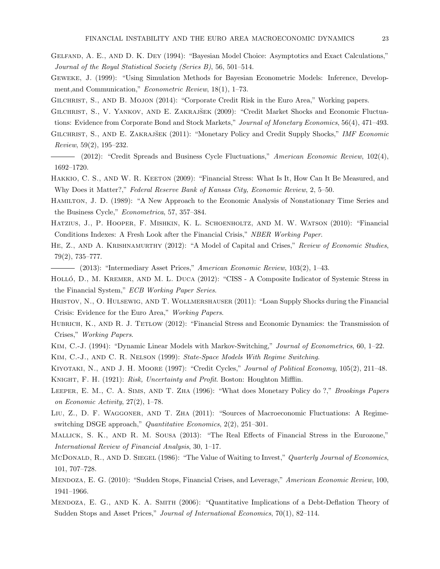- Gelfand, A. E., and D. K. Dey (1994): "Bayesian Model Choice: Asymptotics and Exact Calculations," Journal of the Royal Statistical Society (Series B), 56, 501–514.
- Geweke, J. (1999): "Using Simulation Methods for Bayesian Econometric Models: Inference, Development,and Communication," Econometric Review, 18(1), 1–73.
- GILCHRIST, S., AND B. MOJON (2014): "Corporate Credit Risk in the Euro Area," Working papers.
- GILCHRIST, S., V. YANKOV, AND E. ZAKRAJŠEK (2009): "Credit Market Shocks and Economic Fluctuations: Evidence from Corporate Bond and Stock Markets," Journal of Monetary Economics, 56(4), 471–493.
- GILCHRIST, S., AND E. ZAKRAJŠEK (2011): "Monetary Policy and Credit Supply Shocks," IMF Economic Review, 59(2), 195–232.
- (2012): "Credit Spreads and Business Cycle Fluctuations," American Economic Review, 102(4), 1692–1720.
- HAKKIO, C. S., AND W. R. KEETON (2009): "Financial Stress: What Is It, How Can It Be Measured, and Why Does it Matter?," Federal Reserve Bank of Kansas City, Economic Review, 2, 5–50.
- Hamilton, J. D. (1989): "A New Approach to the Economic Analysis of Nonstationary Time Series and the Business Cycle," Econometrica, 57, 357–384.
- Hatzius, J., P. Hooper, F. Mishkin, K. L. Schoenholtz, and M. W. Watson (2010): "Financial Conditions Indexes: A Fresh Look after the Financial Crisis," NBER Working Paper.
- HE, Z., AND A. KRISHNAMURTHY (2012): "A Model of Capital and Crises," Review of Economic Studies, 79(2), 735–777.
- $-$  (2013): "Intermediary Asset Prices," American Economic Review, 103(2), 1–43.
- HOLLÓ, D., M. KREMER, AND M. L. DUCA (2012): "CISS A Composite Indicator of Systemic Stress in the Financial System," ECB Working Paper Series.
- Hristov, N., O. Hulsewig, and T. Wollmershauser (2011): "Loan Supply Shocks during the Financial Crisis: Evidence for the Euro Area," Working Papers.
- HUBRICH, K., AND R. J. TETLOW (2012): "Financial Stress and Economic Dynamics: the Transmission of Crises," Working Papers.
- KIM, C.-J. (1994): "Dynamic Linear Models with Markov-Switching," *Journal of Econometrics*, 60, 1–22. Kim, C.-J., and C. R. Nelson (1999): State-Space Models With Regime Switching.
- KIYOTAKI, N., AND J. H. MOORE (1997): "Credit Cycles," Journal of Political Economy, 105(2), 211–48. Knight, F. H. (1921): Risk, Uncertainty and Profit. Boston: Houghton Mifflin.
- LEEPER, E. M., C. A. SIMS, AND T. ZHA (1996): "What does Monetary Policy do ?," Brookings Papers on Economic Activity, 27(2), 1–78.
- Liu, Z., D. F. Waggoner, and T. Zha (2011): "Sources of Macroeconomic Fluctuations: A Regimeswitching DSGE approach," Quantitative Economics, 2(2), 251–301.
- Mallick, S. K., and R. M. Sousa (2013): "The Real Effects of Financial Stress in the Eurozone," International Review of Financial Analysis, 30, 1–17.
- McDonald, R., AND D. SIEGEL (1986): "The Value of Waiting to Invest," Quarterly Journal of Economics, 101, 707–728.
- MENDOZA, E. G. (2010): "Sudden Stops, Financial Crises, and Leverage," American Economic Review, 100, 1941–1966.
- Mendoza, E. G., and K. A. Smith (2006): "Quantitative Implications of a Debt-Deflation Theory of Sudden Stops and Asset Prices," Journal of International Economics, 70(1), 82–114.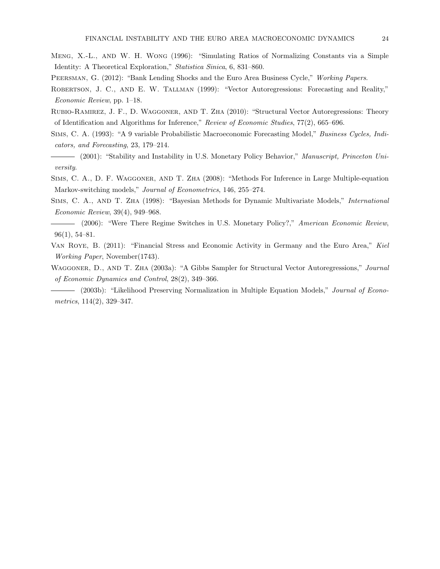- Meng, X.-L., and W. H. Wong (1996): "Simulating Ratios of Normalizing Constants via a Simple Identity: A Theoretical Exploration," Statistica Sinica, 6, 831–860.
- PEERSMAN, G. (2012): "Bank Lending Shocks and the Euro Area Business Cycle," Working Papers.
- ROBERTSON, J. C., AND E. W. TALLMAN (1999): "Vector Autoregressions: Forecasting and Reality," Economic Review, pp. 1–18.
- Rubio-Ramirez, J. F., D. Waggoner, and T. Zha (2010): "Structural Vector Autoregressions: Theory of Identification and Algorithms for Inference," Review of Economic Studies, 77(2), 665–696.
- Sims, C. A. (1993): "A 9 variable Probabilistic Macroeconomic Forecasting Model," Business Cycles, Indicators, and Forecasting, 23, 179–214.
- (2001): "Stability and Instability in U.S. Monetary Policy Behavior," Manuscript, Princeton University.
- Sims, C. A., D. F. Waggoner, and T. Zha (2008): "Methods For Inference in Large Multiple-equation Markov-switching models," Journal of Econometrics, 146, 255–274.
- SIMS, C. A., AND T. ZHA (1998): "Bayesian Methods for Dynamic Multivariate Models," International Economic Review, 39(4), 949–968.
- (2006): "Were There Regime Switches in U.S. Monetary Policy?," American Economic Review, 96(1), 54–81.
- Van Roye, B. (2011): "Financial Stress and Economic Activity in Germany and the Euro Area," Kiel Working Paper, November(1743).
- WAGGONER, D., AND T. ZHA (2003a): "A Gibbs Sampler for Structural Vector Autoregressions," Journal of Economic Dynamics and Control, 28(2), 349–366.
- (2003b): "Likelihood Preserving Normalization in Multiple Equation Models," *Journal of Econo*metrics, 114(2), 329–347.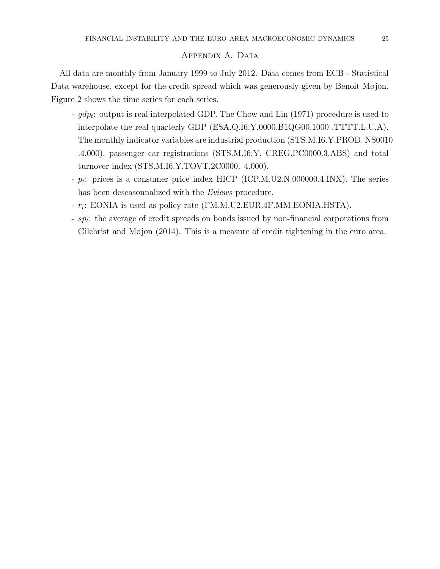# APPENDIX A. DATA

All data are monthly from January 1999 to July 2012. Data comes from ECB - Statistical Data warehouse, except for the credit spread which was generously given by Benoit Mojon. Figure 2 shows the time series for each series.

- $gdp_t$ : output is real interpolated GDP. The Chow and Lin (1971) procedure is used to interpolate the real quarterly GDP (ESA.Q.I6.Y.0000.B1QG00.1000 .TTTT.L.U.A). The monthly indicator variables are industrial production (STS.M.I6.Y.PROD. NS0010 .4.000), passenger car registrations (STS.M.I6.Y. CREG.PC0000.3.ABS) and total turnover index (STS.M.I6.Y.TOVT.2C0000. 4.000).
- $-p_t$ : prices is a consumer price index HICP (ICP.M.U2.N.000000.4.INX). The series has been deseasonnalized with the Eviews procedure.
- $r_t$ : EONIA is used as policy rate (FM.M.U2.EUR.4F.MM.EONIA.HSTA).
- sp<sub>t</sub>: the average of credit spreads on bonds issued by non-financial corporations from Gilchrist and Mojon (2014). This is a measure of credit tightening in the euro area.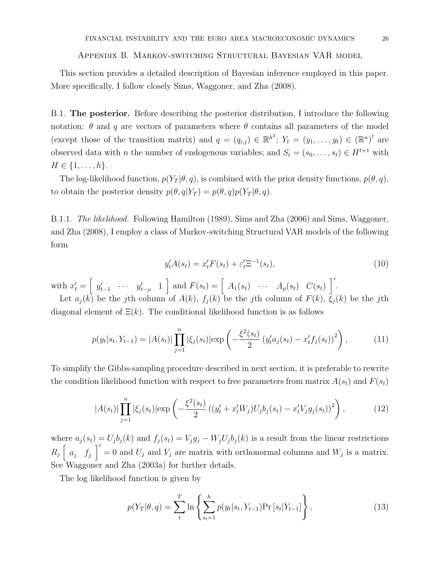#### Appendix B. Markov-switching Structural Bayesian VAR model

This section provides a detailed description of Bayesian inference employed in this paper. More specifically, I follow closely Sims, Waggoner, and Zha (2008).

B.1. The posterior. Before describing the posterior distribution, I introduce the following notation:  $\theta$  and q are vectors of parameters where  $\theta$  contains all parameters of the model (except those of the transition matrix) and  $q = (q_{i,j}) \in \mathbb{R}^{h^2}$ ;  $Y_t = (y_1, \ldots, y_t) \in (\mathbb{R}^n)^t$  are observed data with *n* the number of endogenous variables; and  $S_t = (s_0, \ldots, s_t) \in H^{t+1}$  with  $H \in \{1, \ldots, h\}.$ 

The log-likelihood function,  $p(Y_T | \theta, q)$ , is combined with the prior density functions,  $p(\theta, q)$ , to obtain the posterior density  $p(\theta, q|Y_T) = p(\theta, q)p(Y_T|\theta, q)$ .

B.1.1. The likelihood. Following Hamilton (1989), Sims and Zha (2006) and Sims, Waggoner, and Zha (2008), I employ a class of Markov-switching Structural VAR models of the following form

$$
y_t' A(s_t) = x_t' F(s_t) + \varepsilon_t' \Xi^{-1}(s_t),
$$
\n(10)

with  $x'_t = \begin{bmatrix} y'_{t-1} & \cdots & y'_{t-\rho} & 1 \end{bmatrix}$  and  $F(s_t) = \begin{bmatrix} A_1(s_t) & \cdots & A_\rho(s_t) & C(s_t) \end{bmatrix}$ .

Let  $a_j(k)$  be the jth column of  $A(k)$ ,  $f_j(k)$  be the jth column of  $F(k)$ ,  $\xi_j(k)$  be the jth diagonal element of  $\Xi(k)$ . The conditional likelihood function is as follows

$$
p(y_t|s_t, Y_{t-1}) = |A(s_t)| \prod_{j=1}^n |\xi_j(s_t)| \exp\left(-\frac{\xi^2(s_t)}{2} \left(y_t^{\prime} a_j(s_t) - x_t^{\prime} f_j(s_t)\right)^2\right),\tag{11}
$$

To simplify the Gibbs-sampling procedure described in next section, it is preferable to rewrite the condition likelihood function with respect to free parameters from matrix  $A(s_t)$  and  $F(s_t)$ 

$$
|A(s_t)| \prod_{j=1}^n |\xi_j(s_t)| \exp\left(-\frac{\xi^2(s_t)}{2} \left( (y_t' + x_t' W_j) U_j b_j(s_t) - x_t' V_j g_j(s_t) \right)^2 \right), \tag{12}
$$

where  $a_j(s_t) = U_j b_j(k)$  and  $f_j(s_t) = V_j g_j - W_j U_j b_j(k)$  is a result from the linear restrictions  $R_j \begin{bmatrix} a_j & f_j \end{bmatrix}' = 0$  and  $U_j$  and  $V_j$  are matrix with orthonormal columns and  $W_j$  is a matrix. See Waggoner and Zha (2003a) for further details.

The log likelihood function is given by

$$
p(Y_T|\theta, q) = \sum_{t}^{T} \ln \left\{ \sum_{s_t=1}^{h} p(y_t|s_t, Y_{t-1}) \Pr\left[s_t|Y_{t-1}\right] \right\},\tag{13}
$$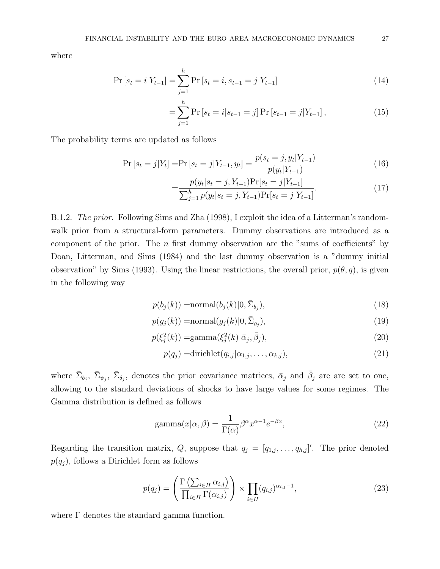where

$$
\Pr\left[s_t = i | Y_{t-1}\right] = \sum_{j=1}^{h} \Pr\left[s_t = i, s_{t-1} = j | Y_{t-1}\right]
$$
\n(14)

$$
= \sum_{j=1}^{h} \Pr\left[s_t = i | s_{t-1} = j\right] \Pr\left[s_{t-1} = j | Y_{t-1}\right],\tag{15}
$$

The probability terms are updated as follows

$$
\Pr\left[s_t = j|Y_t\right] = \Pr\left[s_t = j|Y_{t-1}, y_t\right] = \frac{p(s_t = j, y_t|Y_{t-1})}{p(y_t|Y_{t-1})}
$$
\n(16)

$$
= \frac{p(y_t|s_t=j, Y_{t-1}) \Pr[s_t=j|Y_{t-1}]}{\sum_{j=1}^h p(y_t|s_t=j, Y_{t-1}) \Pr[s_t=j|Y_{t-1}]}.
$$
\n(17)

B.1.2. The prior. Following Sims and Zha (1998), I exploit the idea of a Litterman's randomwalk prior from a structural-form parameters. Dummy observations are introduced as a component of the prior. The  $n$  first dummy observation are the "sums of coefficients" by Doan, Litterman, and Sims (1984) and the last dummy observation is a "dummy initial observation" by Sims (1993). Using the linear restrictions, the overall prior,  $p(\theta, q)$ , is given in the following way

$$
p(b_j(k)) = \text{normal}(b_j(k)|0, \bar{\Sigma}_{b_j}),
$$
\n(18)

$$
p(g_j(k)) = \text{normal}(g_j(k)|0, \bar{\Sigma}_{g_j}),
$$
\n(19)

$$
p(\xi_j^2(k)) = \text{gamma}(\xi_j^2(k)|\bar{\alpha}_j, \bar{\beta}_j),\tag{20}
$$

$$
p(q_j) = \text{dirichlet}(q_{i,j} | \alpha_{1,j}, \dots, \alpha_{k,j}),
$$
\n
$$
(21)
$$

where  $\bar{\Sigma}_{b_j}$ ,  $\bar{\Sigma}_{\phi_j}$ ,  $\bar{\Sigma}_{\delta_j}$ , denotes the prior covariance matrices,  $\bar{\alpha}_j$  and  $\bar{\beta}_j$  are are set to one, allowing to the standard deviations of shocks to have large values for some regimes. The Gamma distribution is defined as follows

$$
gamma(x|\alpha, \beta) = \frac{1}{\Gamma(\alpha)} \beta^{\alpha} x^{\alpha - 1} e^{-\beta x},
$$
\n(22)

Regarding the transition matrix, Q, suppose that  $q_j = [q_{1,j}, \ldots, q_{h,j}]'$ . The prior denoted  $p(q_j)$ , follows a Dirichlet form as follows

$$
p(q_j) = \left(\frac{\Gamma\left(\sum_{i \in H} \alpha_{i,j}\right)}{\prod_{i \in H} \Gamma(\alpha_{i,j})}\right) \times \prod_{i \in H} (q_{i,j})^{\alpha_{i,j}-1},\tag{23}
$$

where Γ denotes the standard gamma function.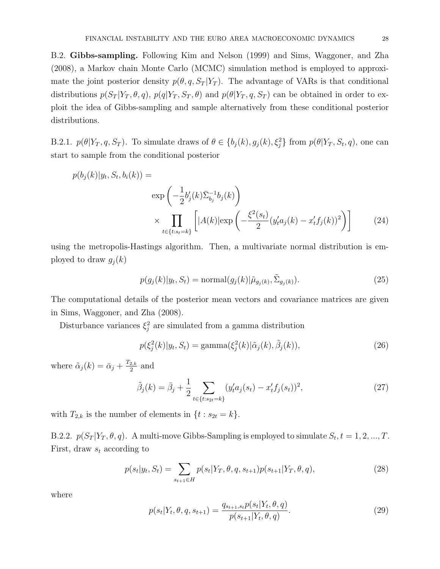B.2. Gibbs-sampling. Following Kim and Nelson (1999) and Sims, Waggoner, and Zha (2008), a Markov chain Monte Carlo (MCMC) simulation method is employed to approximate the joint posterior density  $p(\theta, q, S_T | Y_T)$ . The advantage of VARs is that conditional distributions  $p(S_T | Y_T, \theta, q)$ ,  $p(q | Y_T, S_T, \theta)$  and  $p(\theta | Y_T, q, S_T)$  can be obtained in order to exploit the idea of Gibbs-sampling and sample alternatively from these conditional posterior distributions.

B.2.1.  $p(\theta|Y_T, q, S_T)$ . To simulate draws of  $\theta \in \{b_j(k), g_j(k), \xi_j^2\}$  from  $p(\theta|Y_T, S_t, q)$ , one can start to sample from the conditional posterior

$$
p(b_j(k)|y_t, S_t, b_i(k)) =
$$
  
\n
$$
\exp\left(-\frac{1}{2}b'_j(k)\bar{\Sigma}_{b_j}^{-1}b_j(k)\right)
$$
  
\n
$$
\times \prod_{t \in \{t:s_t=k\}} \left[|A(k)| \exp\left(-\frac{\xi^2(s_t)}{2}(y'_t a_j(k) - x'_t f_j(k))^2\right)\right]
$$
(24)

using the metropolis-Hastings algorithm. Then, a multivariate normal distribution is employed to draw  $g_j(k)$ 

$$
p(g_j(k)|y_t, S_t) = \text{normal}(g_j(k)|\tilde{\mu}_{g_j(k)}, \tilde{\Sigma}_{g_j(k)}).
$$
\n(25)

The computational details of the posterior mean vectors and covariance matrices are given in Sims, Waggoner, and Zha (2008).

Disturbance variances  $\xi_j^2$  are simulated from a gamma distribution

$$
p(\xi_j^2(k)|y_t, S_t) = \text{gamma}(\xi_j^2(k)|\tilde{\alpha}_j(k), \tilde{\beta}_j(k)),
$$
\n(26)

where  $\tilde{\alpha}_j(k) = \bar{\alpha}_j + \frac{T_{2,k}}{2}$  $\frac{2,k}{2}$  and

$$
\tilde{\beta}_j(k) = \bar{\beta}_j + \frac{1}{2} \sum_{t \in \{t:s_{2t} = k\}} (y_t^{\prime} a_j(s_t) - x_t^{\prime} f_j(s_t))^2,
$$
\n(27)

with  $T_{2,k}$  is the number of elements in  $\{t : s_{2t} = k\}.$ 

B.2.2.  $p(S_T | Y_T, \theta, q)$ . A multi-move Gibbs-Sampling is employed to simulate  $S_t, t = 1, 2, ..., T$ . First, draw  $s_t$  according to

$$
p(s_t|y_t, S_t) = \sum_{s_{t+1} \in H} p(s_t|Y_T, \theta, q, s_{t+1}) p(s_{t+1}|Y_T, \theta, q),
$$
\n(28)

where

$$
p(s_t|Y_t, \theta, q, s_{t+1}) = \frac{q_{s_{t+1}, s_t}p(s_t|Y_t, \theta, q)}{p(s_{t+1}|Y_t, \theta, q)}.
$$
\n(29)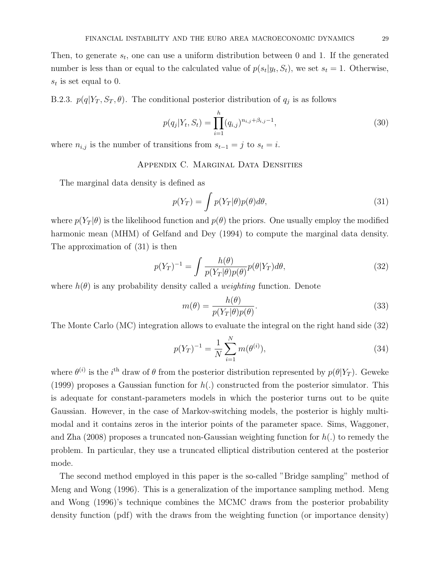Then, to generate  $s_t$ , one can use a uniform distribution between 0 and 1. If the generated number is less than or equal to the calculated value of  $p(s_t|y_t, S_t)$ , we set  $s_t = 1$ . Otherwise,  $s_t$  is set equal to 0.

B.2.3.  $p(q|Y_T, S_T, \theta)$ . The conditional posterior distribution of  $q_j$  is as follows

$$
p(q_j|Y_t, S_t) = \prod_{i=1}^h (q_{i,j})^{n_{i,j} + \beta_{i,j} - 1},
$$
\n(30)

where  $n_{i,j}$  is the number of transitions from  $s_{t-1} = j$  to  $s_t = i$ .

# APPENDIX C. MARGINAL DATA DENSITIES

The marginal data density is defined as

$$
p(Y_T) = \int p(Y_T | \theta) p(\theta) d\theta,
$$
\n(31)

where  $p(Y_T | \theta)$  is the likelihood function and  $p(\theta)$  the priors. One usually employ the modified harmonic mean (MHM) of Gelfand and Dey (1994) to compute the marginal data density. The approximation of (31) is then

$$
p(Y_T)^{-1} = \int \frac{h(\theta)}{p(Y_T|\theta)p(\theta)} p(\theta|Y_T) d\theta,
$$
\n(32)

where  $h(\theta)$  is any probability density called a *weighting* function. Denote

$$
m(\theta) = \frac{h(\theta)}{p(Y_T|\theta)p(\theta)}.
$$
\n(33)

The Monte Carlo (MC) integration allows to evaluate the integral on the right hand side (32)

$$
p(Y_T)^{-1} = \frac{1}{N} \sum_{i=1}^{N} m(\theta^{(i)}),
$$
\n(34)

where  $\theta^{(i)}$  is the *i*<sup>th</sup> draw of  $\theta$  from the posterior distribution represented by  $p(\theta|Y_T)$ . Geweke (1999) proposes a Gaussian function for  $h(.)$  constructed from the posterior simulator. This is adequate for constant-parameters models in which the posterior turns out to be quite Gaussian. However, in the case of Markov-switching models, the posterior is highly multimodal and it contains zeros in the interior points of the parameter space. Sims, Waggoner, and Zha (2008) proposes a truncated non-Gaussian weighting function for  $h(.)$  to remedy the problem. In particular, they use a truncated elliptical distribution centered at the posterior mode.

The second method employed in this paper is the so-called "Bridge sampling" method of Meng and Wong (1996). This is a generalization of the importance sampling method. Meng and Wong (1996)'s technique combines the MCMC draws from the posterior probability density function (pdf) with the draws from the weighting function (or importance density)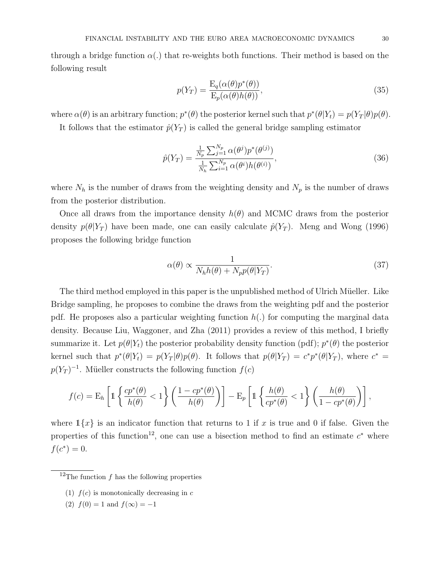through a bridge function  $\alpha(.)$  that re-weights both functions. Their method is based on the following result

$$
p(Y_T) = \frac{\mathcal{E}_q(\alpha(\theta)p^*(\theta))}{\mathcal{E}_p(\alpha(\theta)h(\theta))},
$$
\n(35)

where  $\alpha(\theta)$  is an arbitrary function;  $p^*(\theta)$  the posterior kernel such that  $p^*(\theta|Y_t) = p(Y_T|\theta)p(\theta)$ .

It follows that the estimator  $\hat{p}(Y_T)$  is called the general bridge sampling estimator

$$
\hat{p}(Y_T) = \frac{\frac{1}{N_p} \sum_{j=1}^{N_p} \alpha(\theta^j) p^*(\theta^{(j)})}{\frac{1}{N_h} \sum_{i=1}^{N_p} \alpha(\theta^i) h(\theta^{(i)})},
$$
\n(36)

where  $N_h$  is the number of draws from the weighting density and  $N_p$  is the number of draws from the posterior distribution.

Once all draws from the importance density  $h(\theta)$  and MCMC draws from the posterior density  $p(\theta|Y_T)$  have been made, one can easily calculate  $\hat{p}(Y_T)$ . Meng and Wong (1996) proposes the following bridge function

$$
\alpha(\theta) \propto \frac{1}{N_h h(\theta) + N_p p(\theta|Y_T)}.\tag{37}
$$

The third method employed in this paper is the unpublished method of Ulrich Müeller. Like Bridge sampling, he proposes to combine the draws from the weighting pdf and the posterior pdf. He proposes also a particular weighting function  $h(.)$  for computing the marginal data density. Because Liu, Waggoner, and Zha (2011) provides a review of this method, I briefly summarize it. Let  $p(\theta|Y_t)$  the posterior probability density function (pdf);  $p^*(\theta)$  the posterior kernel such that  $p^*(\theta|Y_t) = p(Y_T|\theta)p(\theta)$ . It follows that  $p(\theta|Y_T) = c^*p^*(\theta|Y_T)$ , where  $c^* =$  $p(Y_T)^{-1}$ . Müeller constructs the following function  $f(c)$ 

$$
f(c) = \mathcal{E}_h \left[ \mathbb{1} \left\{ \frac{cp^*(\theta)}{h(\theta)} < 1 \right\} \left( \frac{1 - cp^*(\theta)}{h(\theta)} \right) \right] - \mathcal{E}_p \left[ \mathbb{1} \left\{ \frac{h(\theta)}{cp^*(\theta)} < 1 \right\} \left( \frac{h(\theta)}{1 - cp^*(\theta)} \right) \right],
$$

where  $1\{x\}$  is an indicator function that returns to 1 if x is true and 0 if false. Given the properties of this function<sup>12</sup>, one can use a bisection method to find an estimate  $c^*$  where  $f(c^*) = 0.$ 

- (1)  $f(c)$  is monotonically decreasing in c
- (2)  $f(0) = 1$  and  $f(\infty) = -1$

<sup>&</sup>lt;sup>12</sup>The function f has the following properties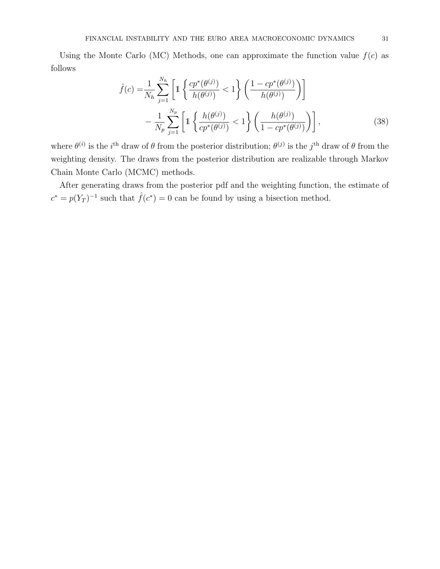Using the Monte Carlo (MC) Methods, one can approximate the function value  $f(c)$  as follows

$$
\hat{f}(c) = \frac{1}{N_h} \sum_{j=1}^{N_h} \left[ 1 \left\{ \frac{cp^*(\theta^{(j)})}{h(\theta^{(j)})} < 1 \right\} \left( \frac{1 - cp^*(\theta^{(j)})}{h(\theta^{(j)})} \right) \right] - \frac{1}{N_p} \sum_{j=1}^{N_p} \left[ 1 \left\{ \frac{h(\theta^{(j)})}{cp^*(\theta^{(j)})} < 1 \right\} \left( \frac{h(\theta^{(j)})}{1 - cp^*(\theta^{(j)})} \right) \right],
$$
\n(38)

where  $\theta^{(i)}$  is the i<sup>th</sup> draw of  $\theta$  from the posterior distribution;  $\theta^{(j)}$  is the j<sup>th</sup> draw of  $\theta$  from the weighting density. The draws from the posterior distribution are realizable through Markov Chain Monte Carlo (MCMC) methods.

After generating draws from the posterior pdf and the weighting function, the estimate of  $c^* = p(Y_T)^{-1}$  such that  $\hat{f}(c^*) = 0$  can be found by using a bisection method.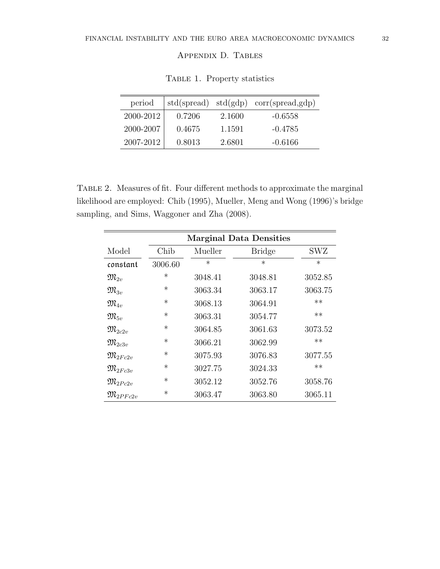# Appendix D. Tables

| period    |        |        | $std(spread) std(gdp) corr(spread, gdp)$ |
|-----------|--------|--------|------------------------------------------|
| 2000-2012 | 0.7206 | 2.1600 | $-0.6558$                                |
| 2000-2007 | 0.4675 | 1.1591 | $-0.4785$                                |
| 2007-2012 | 0.8013 | 2.6801 | $-0.6166$                                |

Table 1. Property statistics

Table 2. Measures of fit. Four different methods to approximate the marginal likelihood are employed: Chib (1995), Mueller, Meng and Wong (1996)'s bridge sampling, and Sims, Waggoner and Zha (2008).

|                         | <b>Marginal Data Densities</b> |         |               |         |
|-------------------------|--------------------------------|---------|---------------|---------|
| Model                   | Chib                           | Mueller | <b>Bridge</b> | SWZ     |
| constant                | 3006.60                        | $\ast$  | $\ast$        | $\ast$  |
| $\mathfrak{M}_{2n}$     | $\ast$                         | 3048.41 | 3048.81       | 3052.85 |
| $\mathfrak{M}_{3v}$     | $\ast$                         | 3063.34 | 3063.17       | 3063.75 |
| $\mathfrak{M}_{4n}$     | $\ast$                         | 3068.13 | 3064.91       | $**$    |
| $\mathfrak{M}_{5v}$     | $\ast$                         | 3063.31 | 3054.77       | $**$    |
| $\mathfrak{M}_{2c2v}$   | $\ast$                         | 3064.85 | 3061.63       | 3073.52 |
| $\mathfrak{M}_{2c3v}$   | $\ast$                         | 3066.21 | 3062.99       | $***$   |
| $\mathfrak{M}_{2Fc2v}$  | $\ast$                         | 3075.93 | 3076.83       | 3077.55 |
| $\mathfrak{M}_{2Fc3v}$  | $\ast$                         | 3027.75 | 3024.33       | $**$    |
| $\mathfrak{M}_{2Pc2v}$  | $\ast$                         | 3052.12 | 3052.76       | 3058.76 |
| $\mathfrak{M}_{2PFc2v}$ | ∗                              | 3063.47 | 3063.80       | 3065.11 |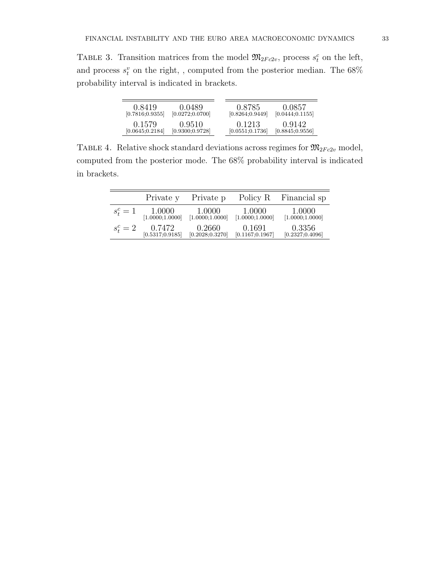TABLE 3. Transition matrices from the model  $\mathfrak{M}_{2Fc2v}$ , process  $s_t^c$  on the left, and process  $s_t^v$  on the right, , computed from the posterior median. The  $68\%$ probability interval is indicated in brackets.

| 0.8419           | 0.0489           | 0.8785           | 0.0857           |
|------------------|------------------|------------------|------------------|
| [0.7816; 0.9355] | [0.0272; 0.0700] | [0.8264; 0.9449] | [0.0444; 0.1155] |
| 0.1579           | 0.9510           | 0.1213           | 0.9142           |
| [0.0645; 0.2184] | [0.9300; 0.9728] | [0.0551; 0.1736] | [0.8845; 0.9556] |

TABLE 4. Relative shock standard deviations across regimes for  $\mathfrak{M}_{2Fc2v}$  model, computed from the posterior mode. The 68% probability interval is indicated in brackets.

|           | Private y                   | Private p                  | Policy R                   | Financial sp               |
|-----------|-----------------------------|----------------------------|----------------------------|----------------------------|
| $s_t^c=1$ | $1.0000$<br>[1.0000;1.0000] | 1.0000<br>[1.0000;1.0000]  | 1.0000<br>[1.0000;1.0000]  | 1.0000<br>[1.0000;1.0000]  |
| $s_t^c=2$ | 0.7472<br>[0.5317; 0.9185]  | 0.2660<br>[0.2028; 0.3270] | 0.1691<br>[0.1167; 0.1967] | 0.3356<br>[0.2327; 0.4096] |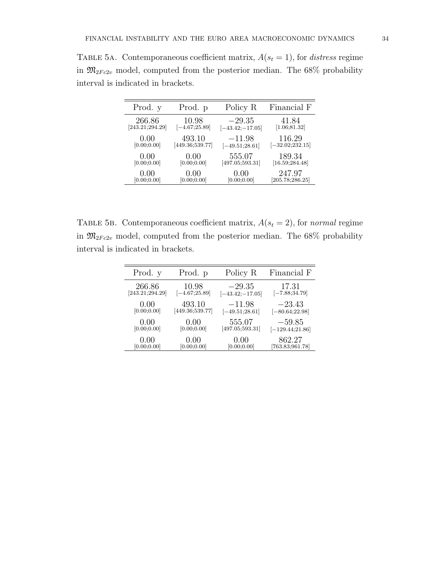| Prod. y         | Prod. p          | Policy R           | Financial F        |
|-----------------|------------------|--------------------|--------------------|
| 266.86          | 10.98            | $-29.35$           | 41.84              |
| [243.21;294.29] | $[-4.67;25.89]$  | $[-43.42; -17.05]$ | [1.06;81.32]       |
| 0.00            | 493.10           | $-11.98$           | 116.29             |
| [0.00; 0.00]    | [449.36; 539.77] | $[-49.51;28.61]$   | $[-32.02; 232.15]$ |
| 0.00            | 0.00             | 555.07             | 189.34             |
| [0.00; 0.00]    | [0.00; 0.00]     | [497.05;593.31]    | [16.59; 284.48]    |
| 0.00            | 0.00             | 0.00               | 247.97             |
| [0.00; 0.00]    | [0.00;0.00]      | [0.00; 0.00]       | [205.78;286.25]    |

TABLE 5A. Contemporaneous coefficient matrix,  $A(s_t = 1)$ , for distress regime in  $\mathfrak{M}_{2Fc2v}$  model, computed from the posterior median. The 68% probability interval is indicated in brackets.

TABLE 5B. Contemporaneous coefficient matrix,  $A(s_t = 2)$ , for normal regime in  $\mathfrak{M}_{2Fc2v}$  model, computed from the posterior median. The 68% probability interval is indicated in brackets.

| Prod. y         | Prod. p          | Policy R           | Financial F       |
|-----------------|------------------|--------------------|-------------------|
| 266.86          | 10.98            | $-29.35$           | 17.31             |
| [243.21;294.29] | $[-4.67;25.89]$  | $[-43.42; -17.05]$ | $[-7.88; 34.79]$  |
| 0.00            | 493.10           | $-11.98$           | $-23.43$          |
| [0.00; 0.00]    | [449.36; 539.77] | $[-49.51;28.61]$   | $[-80.64;22.98]$  |
| 0.00            | 0.00             | 555.07             | $-59.85$          |
| [0.00; 0.00]    | [0.00; 0.00]     | [497.05;593.31]    | $[-129.44;21.86]$ |
| 0.00            | 0.00             | 0.00               | 862.27            |
| [0.00; 0.00]    | [0.00; 0.00]     | [0.00; 0.00]       | [763.83;961.78]   |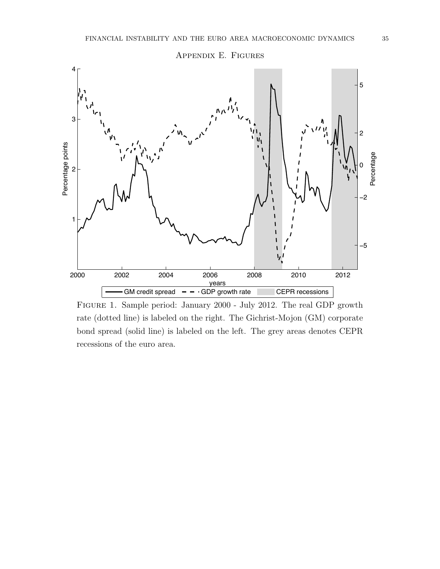

Figure 1. Sample period: January 2000 - July 2012. The real GDP growth rate (dotted line) is labeled on the right. The Gichrist-Mojon (GM) corporate bond spread (solid line) is labeled on the left. The grey areas denotes CEPR recessions of the euro area.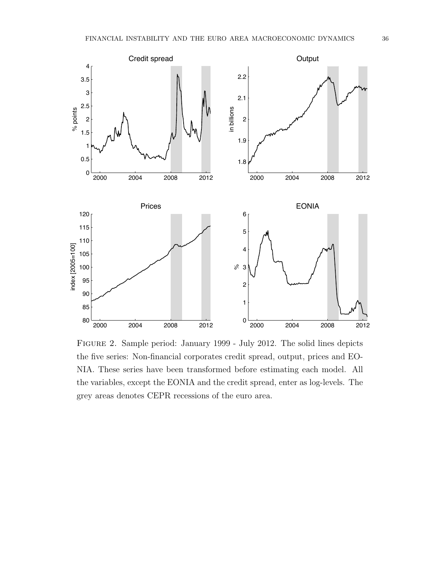

Figure 2. Sample period: January 1999 - July 2012. The solid lines depicts the five series: Non-financial corporates credit spread, output, prices and EO-NIA. These series have been transformed before estimating each model. All the variables, except the EONIA and the credit spread, enter as log-levels. The grey areas denotes CEPR recessions of the euro area.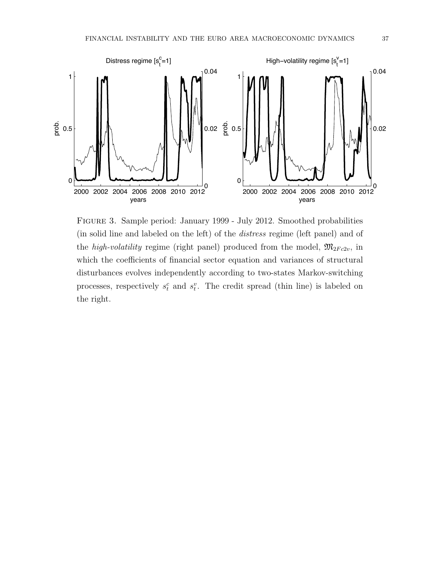

Figure 3. Sample period: January 1999 - July 2012. Smoothed probabilities (in solid line and labeled on the left) of the distress regime (left panel) and of the *high-volatility* regime (right panel) produced from the model,  $\mathfrak{M}_{2Fc2v}$ , in which the coefficients of financial sector equation and variances of structural disturbances evolves independently according to two-states Markov-switching processes, respectively  $s_t^c$  and  $s_t^v$ . The credit spread (thin line) is labeled on the right.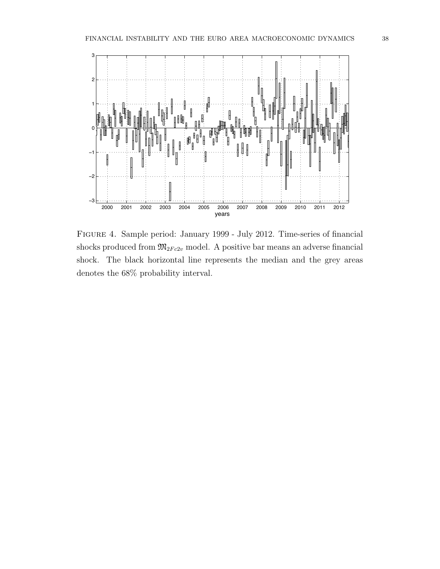

Figure 4. Sample period: January 1999 - July 2012. Time-series of financial shocks produced from  $\mathfrak{M}_{2Fc2v}$  model. A positive bar means an adverse financial shock. The black horizontal line represents the median and the grey areas denotes the  $68\%$  probability interval.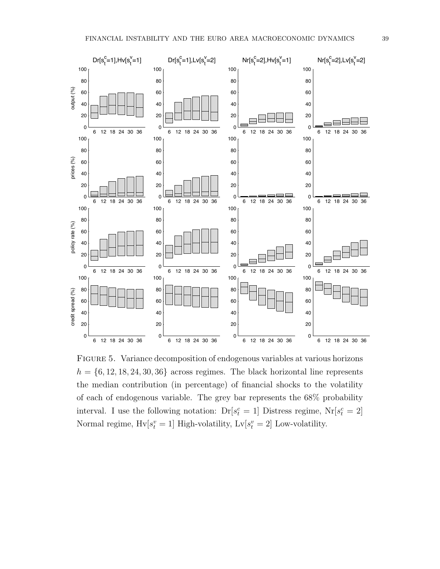

Figure 5. Variance decomposition of endogenous variables at various horizons  $h = \{6, 12, 18, 24, 30, 36\}$  across regimes. The black horizontal line represents the median contribution (in percentage) of financial shocks to the volatility of each of endogenous variable. The grey bar represents the 68% probability interval. I use the following notation:  $Dr[s_t^c = 1]$  Distress regime,  $Nr[s_t^c = 2]$ Normal regime,  $Hv[s_t^v = 1]$  High-volatility,  $Lv[s_t^v = 2]$  Low-volatility.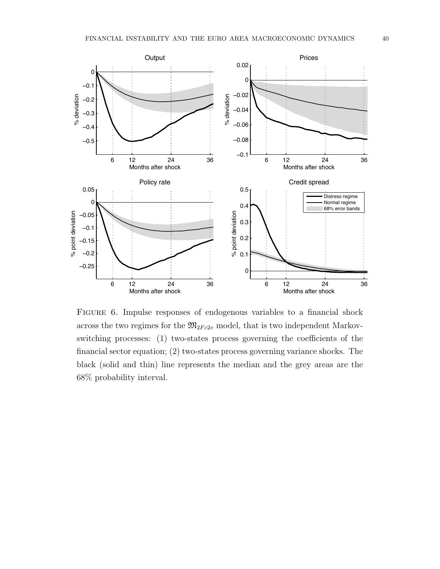

Figure 6. Impulse responses of endogenous variables to a financial shock across the two regimes for the  $\mathfrak{M}_{2Fc2v}$  model, that is two independent Markovswitching processes: (1) two-states process governing the coefficients of the financial sector equation; (2) two-states process governing variance shocks. The black (solid and thin) line represents the median and the grey areas are the 68% probability interval.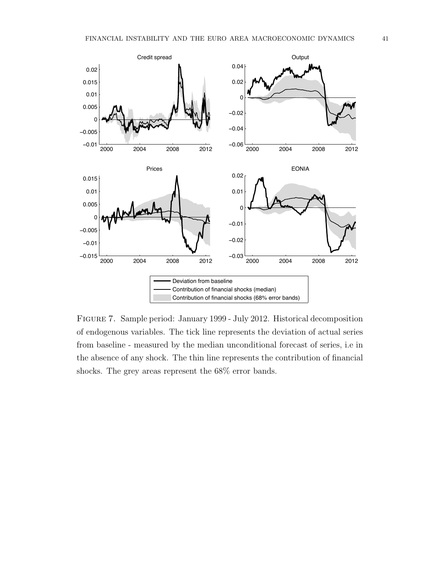

Figure 7. Sample period: January 1999 - July 2012. Historical decomposition of endogenous variables. The tick line represents the deviation of actual series from baseline - measured by the median unconditional forecast of series, i.e in the absence of any shock. The thin line represents the contribution of financial shocks. The grey areas represent the 68% error bands.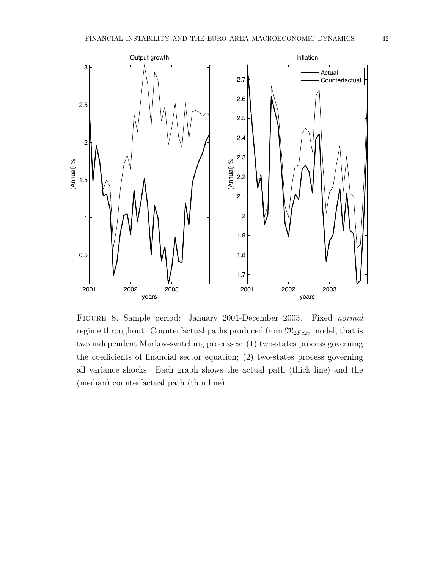

Figure 8. Sample period: January 2001-December 2003. Fixed normal regime throughout. Counterfactual paths produced from  $\mathfrak{M}_{2Fc2v}$  model, that is two independent Markov-switching processes: (1) two-states process governing the coefficients of financial sector equation; (2) two-states process governing all variance shocks. Each graph shows the actual path (thick line) and the (median) counterfactual path (thin line).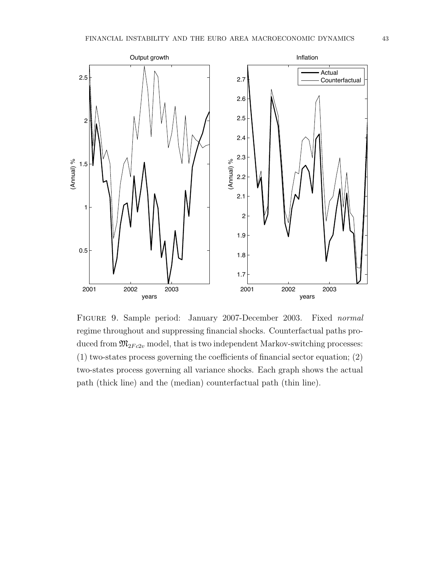

Figure 9. Sample period: January 2007-December 2003. Fixed normal regime throughout and suppressing financial shocks. Counterfactual paths produced from  $\mathfrak{M}_{2Fc2v}$  model, that is two independent Markov-switching processes: (1) two-states process governing the coefficients of financial sector equation; (2) two-states process governing all variance shocks. Each graph shows the actual path (thick line) and the (median) counterfactual path (thin line).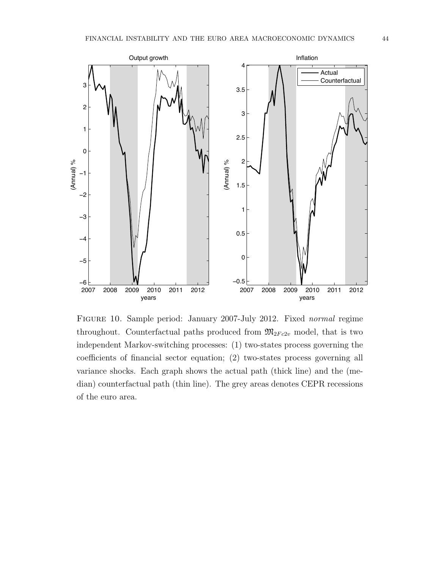

Figure 10. Sample period: January 2007-July 2012. Fixed normal regime throughout. Counterfactual paths produced from  $\mathfrak{M}_{2Fc2v}$  model, that is two independent Markov-switching processes: (1) two-states process governing the coefficients of financial sector equation; (2) two-states process governing all variance shocks. Each graph shows the actual path (thick line) and the (median) counterfactual path (thin line). The grey areas denotes CEPR recessions of the euro area.